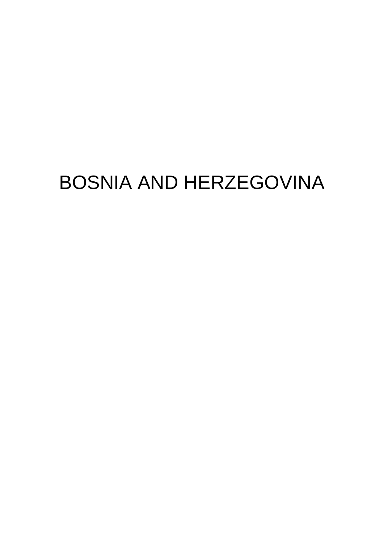# BOSNIA AND HERZEGOVINA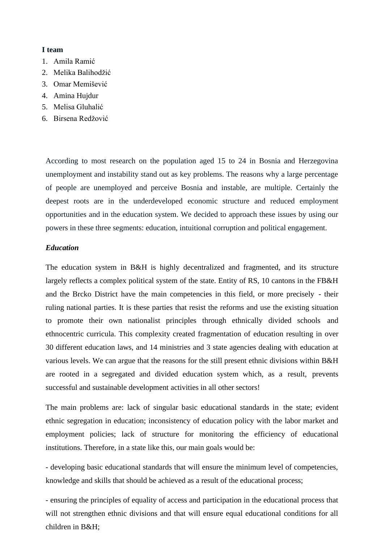#### **I team**

- 1. Amila Ramić
- 2. Melika Balihodžić
- 3. Omar Memišević
- 4. Amina Hujdur
- 5. Melisa Gluhalić
- 6. Birsena Redžović

According to most research on the population aged 15 to 24 in Bosnia and Herzegovina unemployment and instability stand out as key problems. The reasons why a large percentage of people are unemployed and perceive Bosnia and instable, are multiple. Certainly the deepest roots are in the underdeveloped economic structure and reduced employment opportunities and in the education system. We decided to approach these issues by using our powers in these three segments: education, intuitional corruption and political engagement.

#### *Education*

The education system in B&H is highly decentralized and fragmented, and its structure largely reflects a complex political system of the state. Entity of RS, 10 cantons in the FB&H and the Brcko District have the main competencies in this field, or more precisely - their ruling national parties. It is these parties that resist the reforms and use the existing situation to promote their own nationalist principles through ethnically divided schools and ethnocentric curricula. This complexity created fragmentation of education resulting in over 30 different education laws, and 14 ministries and 3 state agencies dealing with education at various levels. We can argue that the reasons for the still present ethnic divisions within B&H are rooted in a segregated and divided education system which, as a result, prevents successful and sustainable development activities in all other sectors!

The main problems are: lack of singular basic educational standards in the state; evident ethnic segregation in education; inconsistency of education policy with the labor market and employment policies; lack of structure for monitoring the efficiency of educational institutions. Therefore, in a state like this, our main goals would be:

- developing basic educational standards that will ensure the minimum level of competencies, knowledge and skills that should be achieved as a result of the educational process;

- ensuring the principles of equality of access and participation in the educational process that will not strengthen ethnic divisions and that will ensure equal educational conditions for all children in B&H;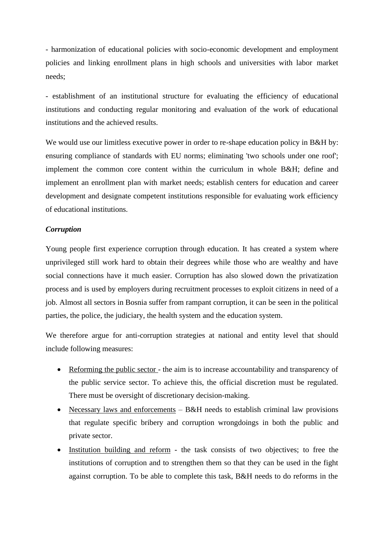- harmonization of educational policies with socio-economic development and employment policies and linking enrollment plans in high schools and universities with labor market needs;

- establishment of an institutional structure for evaluating the efficiency of educational institutions and conducting regular monitoring and evaluation of the work of educational institutions and the achieved results.

We would use our limitless executive power in order to re-shape education policy in B&H by: ensuring compliance of standards with EU norms; eliminating 'two schools under one roof'; implement the common core content within the curriculum in whole B&H; define and implement an enrollment plan with market needs; establish centers for education and career development and designate competent institutions responsible for evaluating work efficiency of educational institutions.

#### *Corruption*

Young people first experience corruption through education. It has created a system where unprivileged still work hard to obtain their degrees while those who are wealthy and have social connections have it much easier. Corruption has also slowed down the privatization process and is used by employers during recruitment processes to exploit citizens in need of a job. Almost all sectors in Bosnia suffer from rampant corruption, it can be seen in the political parties, the police, the judiciary, the health system and the education system.

We therefore argue for anti-corruption strategies at national and entity level that should include following measures:

- Reforming the public sector the aim is to increase accountability and transparency of the public service sector. To achieve this, the official discretion must be regulated. There must be oversight of discretionary decision-making.
- Necessary laws and enforcements B&H needs to establish criminal law provisions that regulate specific bribery and corruption wrongdoings in both the public and private sector.
- Institution building and reform the task consists of two objectives; to free the institutions of corruption and to strengthen them so that they can be used in the fight against corruption. To be able to complete this task, B&H needs to do reforms in the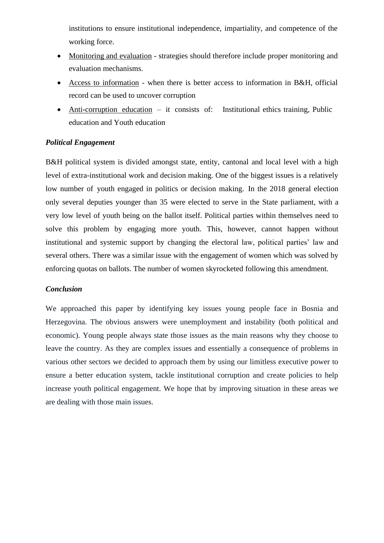institutions to ensure institutional independence, impartiality, and competence of the working force.

- Monitoring and evaluation strategies should therefore include proper monitoring and evaluation mechanisms.
- Access to information when there is better access to information in B&H, official record can be used to uncover corruption
- Anti-corruption education it consists of: Institutional ethics training, Public education and Youth education

# *Political Engagement*

B&H political system is divided amongst state, entity, cantonal and local level with a high level of extra-institutional work and decision making. One of the biggest issues is a relatively low number of youth engaged in politics or decision making. In the 2018 general election only several deputies younger than 35 were elected to serve in the State parliament, with a very low level of youth being on the ballot itself. Political parties within themselves need to solve this problem by engaging more youth. This, however, cannot happen without institutional and systemic support by changing the electoral law, political parties' law and several others. There was a similar issue with the engagement of women which was solved by enforcing quotas on ballots. The number of women skyrocketed following this amendment.

#### *Conclusion*

We approached this paper by identifying key issues young people face in Bosnia and Herzegovina. The obvious answers were unemployment and instability (both political and economic). Young people always state those issues as the main reasons why they choose to leave the country. As they are complex issues and essentially a consequence of problems in various other sectors we decided to approach them by using our limitless executive power to ensure a better education system, tackle institutional corruption and create policies to help increase youth political engagement. We hope that by improving situation in these areas we are dealing with those main issues.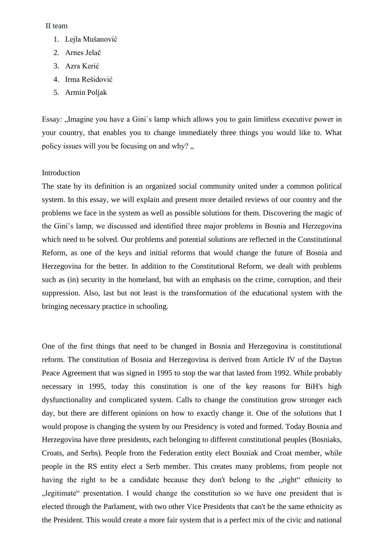#### II team

- 1. Lejla Mušanović
- 2. Arnes Jelač
- 3. Azra Kerić
- 4. Irma Rešidović
- 5. Armin Poljak

Essay: "Imagine you have a Gini's lamp which allows you to gain limitless executive power in your country, that enables you to change immediately three things you would like to. What policy issues will you be focusing on and why?  $\cdot$ ,

#### Introduction

The state by its definition is an organized social community united under a common political system. In this essay, we will explain and present more detailed reviews of our country and the problems we face in the system as well as possible solutions for them. Discovering the magic of the Gini's lamp, we discussed and identified three major problems in Bosnia and Herzegovina which need to be solved. Our problems and potential solutions are reflected in the Constitutional Reform, as one of the keys and initial reforms that would change the future of Bosnia and Herzegovina for the better. In addition to the Constitutional Reform, we dealt with problems such as (in) security in the homeland, but with an emphasis on the crime, corruption, and their suppression. Also, last but not least is the transformation of the educational system with the bringing necessary practice in schooling.

One of the first things that need to be changed in Bosnia and Herzegovina is constitutional reform. The constitution of Bosnia and Herzegovina is derived from Article IV of the Dayton Peace Agreement that was signed in 1995 to stop the war that lasted from 1992. While probably necessary in 1995, today this constitution is one of the key reasons for BiH's high dysfunctionality and complicated system. Calls to change the constitution grow stronger each day, but there are different opinions on how to exactly change it. One of the solutions that I would propose is changing the system by our Presidency is voted and formed. Today Bosnia and Herzegovina have three presidents, each belonging to different constitutional peoples (Bosniaks, Croats, and Serbs). People from the Federation entity elect Bosniak and Croat member, while people in the RS entity elect a Serb member. This creates many problems, from people not having the right to be a candidate because they don't belong to the "right" ethnicity to ", legitimate" presentation. I would change the constitution so we have one president that is elected through the Parlament, with two other Vice Presidents that can't be the same ethnicity as the President. This would create a more fair system that is a perfect mix of the civic and national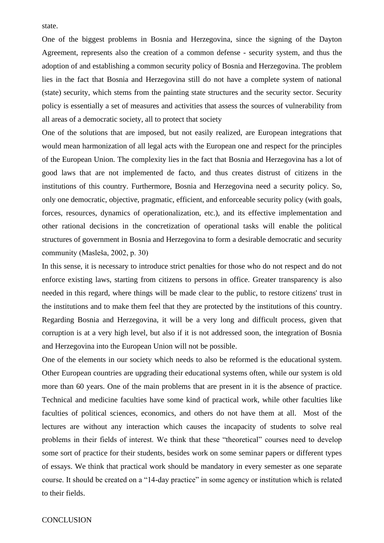state.

One of the biggest problems in Bosnia and Herzegovina, since the signing of the Dayton Agreement, represents also the creation of a common defense - security system, and thus the adoption of and establishing a common security policy of Bosnia and Herzegovina. The problem lies in the fact that Bosnia and Herzegovina still do not have a complete system of national (state) security, which stems from the painting state structures and the security sector. Security policy is essentially a set of measures and activities that assess the sources of vulnerability from all areas of a democratic society, all to protect that society

One of the solutions that are imposed, but not easily realized, are European integrations that would mean harmonization of all legal acts with the European one and respect for the principles of the European Union. The complexity lies in the fact that Bosnia and Herzegovina has a lot of good laws that are not implemented de facto, and thus creates distrust of citizens in the institutions of this country. Furthermore, Bosnia and Herzegovina need a security policy. So, only one democratic, objective, pragmatic, efficient, and enforceable security policy (with goals, forces, resources, dynamics of operationalization, etc.), and its effective implementation and other rational decisions in the concretization of operational tasks will enable the political structures of government in Bosnia and Herzegovina to form a desirable democratic and security community (Masleša, 2002, p. 30)

In this sense, it is necessary to introduce strict penalties for those who do not respect and do not enforce existing laws, starting from citizens to persons in office. Greater transparency is also needed in this regard, where things will be made clear to the public, to restore citizens' trust in the institutions and to make them feel that they are protected by the institutions of this country. Regarding Bosnia and Herzegovina, it will be a very long and difficult process, given that corruption is at a very high level, but also if it is not addressed soon, the integration of Bosnia and Herzegovina into the European Union will not be possible.

One of the elements in our society which needs to also be reformed is the educational system. Other European countries are upgrading their educational systems often, while our system is old more than 60 years. One of the main problems that are present in it is the absence of practice. Technical and medicine faculties have some kind of practical work, while other faculties like faculties of political sciences, economics, and others do not have them at all. Most of the lectures are without any interaction which causes the incapacity of students to solve real problems in their fields of interest. We think that these "theoretical" courses need to develop some sort of practice for their students, besides work on some seminar papers or different types of essays. We think that practical work should be mandatory in every semester as one separate course. It should be created on a "14-day practice" in some agency or institution which is related to their fields.

#### **CONCLUSION**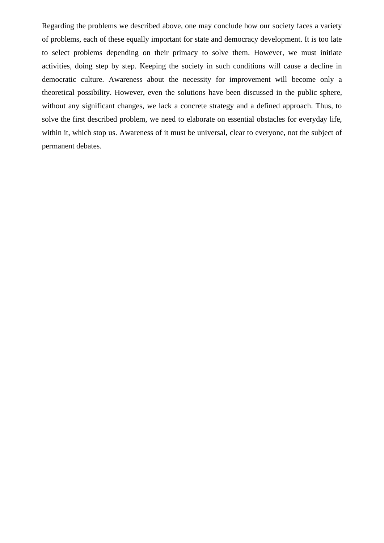Regarding the problems we described above, one may conclude how our society faces a variety of problems, each of these equally important for state and democracy development. It is too late to select problems depending on their primacy to solve them. However, we must initiate activities, doing step by step. Keeping the society in such conditions will cause a decline in democratic culture. Awareness about the necessity for improvement will become only a theoretical possibility. However, even the solutions have been discussed in the public sphere, without any significant changes, we lack a concrete strategy and a defined approach. Thus, to solve the first described problem, we need to elaborate on essential obstacles for everyday life, within it, which stop us. Awareness of it must be universal, clear to everyone, not the subject of permanent debates.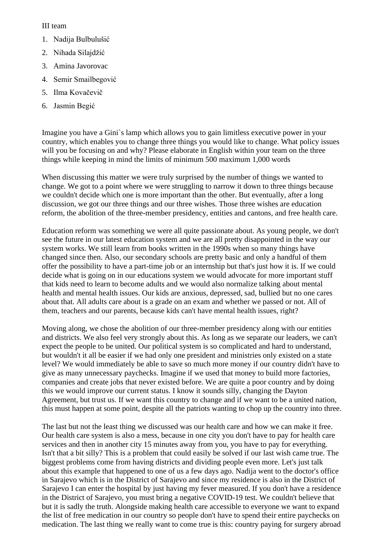#### III team

- 1. Nadija Bulbulušić
- 2. Nihada Silajdžić
- 3. Amina Javorovac
- 4. Semir Smailbegović
- 5. Ilma Kovačevič
- 6. Jasmin Begić

Imagine you have a Gini`s lamp which allows you to gain limitless executive power in your country, which enables you to change three things you would like to change. What policy issues will you be focusing on and why? Please elaborate in English within your team on the three things while keeping in mind the limits of minimum 500 maximum 1,000 words

When discussing this matter we were truly surprised by the number of things we wanted to change. We got to a point where we were struggling to narrow it down to three things because we couldn't decide which one is more important than the other. But eventually, after a long discussion, we got our three things and our three wishes. Those three wishes are education reform, the abolition of the three-member presidency, entities and cantons, and free health care.

Education reform was something we were all quite passionate about. As young people, we don't see the future in our latest education system and we are all pretty disappointed in the way our system works. We still learn from books written in the 1990s when so many things have changed since then. Also, our secondary schools are pretty basic and only a handful of them offer the possibility to have a part-time job or an internship but that's just how it is. If we could decide what is going on in our educations system we would advocate for more important stuff that kids need to learn to become adults and we would also normalize talking about mental health and mental health issues. Our kids are anxious, depressed, sad, bullied but no one cares about that. All adults care about is a grade on an exam and whether we passed or not. All of them, teachers and our parents, because kids can't have mental health issues, right?

Moving along, we chose the abolition of our three-member presidency along with our entities and districts. We also feel very strongly about this. As long as we separate our leaders, we can't expect the people to be united. Our political system is so complicated and hard to understand, but wouldn't it all be easier if we had only one president and ministries only existed on a state level? We would immediately be able to save so much more money if our country didn't have to give as many unnecessary paychecks. Imagine if we used that money to build more factories, companies and create jobs that never existed before. We are quite a poor country and by doing this we would improve our current status. I know it sounds silly, changing the Dayton Agreement, but trust us. If we want this country to change and if we want to be a united nation, this must happen at some point, despite all the patriots wanting to chop up the country into three.

The last but not the least thing we discussed was our health care and how we can make it free. Our health care system is also a mess, because in one city you don't have to pay for health care services and then in another city 15 minutes away from you, you have to pay for everything. Isn't that a bit silly? This is a problem that could easily be solved if our last wish came true. The biggest problems come from having districts and dividing people even more. Let's just talk about this example that happened to one of us a few days ago. Nadija went to the doctor's office in Sarajevo which is in the District of Sarajevo and since my residence is also in the District of Sarajevo I can enter the hospital by just having my fever measured. If you don't have a residence in the District of Sarajevo, you must bring a negative COVID-19 test. We couldn't believe that but it is sadly the truth. Alongside making health care accessible to everyone we want to expand the list of free medication in our country so people don't have to spend their entire paychecks on medication. The last thing we really want to come true is this: country paying for surgery abroad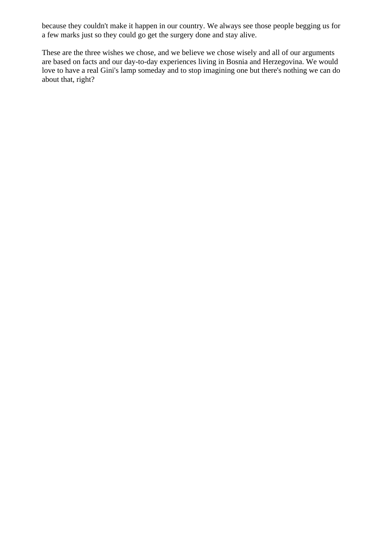because they couldn't make it happen in our country. We always see those people begging us for a few marks just so they could go get the surgery done and stay alive.

These are the three wishes we chose, and we believe we chose wisely and all of our arguments are based on facts and our day-to-day experiences living in Bosnia and Herzegovina. We would love to have a real Gini's lamp someday and to stop imagining one but there's nothing we can do about that, right?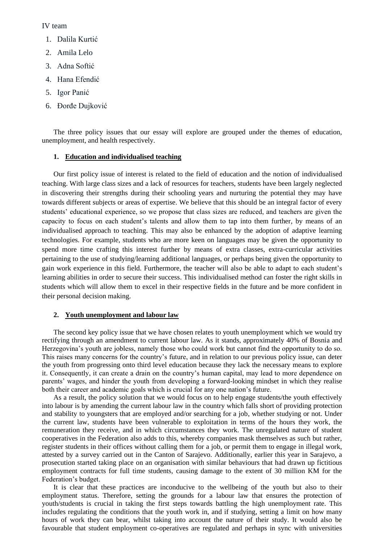### IV team

- 1. Dalila Kurtić
- 2. Amila Lelo
- 3. Adna Softić
- 4. Hana Efendić
- 5. Igor Panić
- 6. Đorđe Dujković

The three policy issues that our essay will explore are grouped under the themes of education, unemployment, and health respectively.

#### **1. Education and individualised teaching**

Our first policy issue of interest is related to the field of education and the notion of individualised teaching. With large class sizes and a lack of resources for teachers, students have been largely neglected in discovering their strengths during their schooling years and nurturing the potential they may have towards different subjects or areas of expertise. We believe that this should be an integral factor of every students' educational experience, so we propose that class sizes are reduced, and teachers are given the capacity to focus on each student's talents and allow them to tap into them further, by means of an individualised approach to teaching. This may also be enhanced by the adoption of adaptive learning technologies. For example, students who are more keen on languages may be given the opportunity to spend more time crafting this interest further by means of extra classes, extra-curricular activities pertaining to the use of studying/learning additional languages, or perhaps being given the opportunity to gain work experience in this field. Furthermore, the teacher will also be able to adapt to each student's learning abilities in order to secure their success. This individualised method can foster the right skills in students which will allow them to excel in their respective fields in the future and be more confident in their personal decision making.

#### **2. Youth unemployment and labour law**

The second key policy issue that we have chosen relates to youth unemployment which we would try rectifying through an amendment to current labour law. As it stands, approximately 40% of Bosnia and Herzegovina's youth are jobless, namely those who could work but cannot find the opportunity to do so. This raises many concerns for the country's future, and in relation to our previous policy issue, can deter the youth from progressing onto third level education because they lack the necessary means to explore it. Consequently, it can create a drain on the country's human capital, may lead to more dependence on parents' wages, and hinder the youth from developing a forward-looking mindset in which they realise both their career and academic goals which is crucial for any one nation's future.

As a result, the policy solution that we would focus on to help engage students/the youth effectively into labour is by amending the current labour law in the country which falls short of providing protection and stability to youngsters that are employed and/or searching for a job, whether studying or not. Under the current law, students have been vulnerable to exploitation in terms of the hours they work, the remuneration they receive, and in which circumstances they work. The unregulated nature of student cooperatives in the Federation also adds to this, whereby companies mask themselves as such but rather, register students in their offices without calling them for a job, or permit them to engage in illegal work, attested by a survey carried out in the Canton of Sarajevo. Additionally, earlier this year in Sarajevo, a prosecution started taking place on an organisation with similar behaviours that had drawn up fictitious employment contracts for full time students, causing damage to the extent of 30 million KM for the Federation's budget.

It is clear that these practices are inconducive to the wellbeing of the youth but also to their employment status. Therefore, setting the grounds for a labour law that ensures the protection of youth/students is crucial in taking the first steps towards battling the high unemployment rate. This includes regulating the conditions that the youth work in, and if studying, setting a limit on how many hours of work they can bear, whilst taking into account the nature of their study. It would also be favourable that student employment co-operatives are regulated and perhaps in sync with universities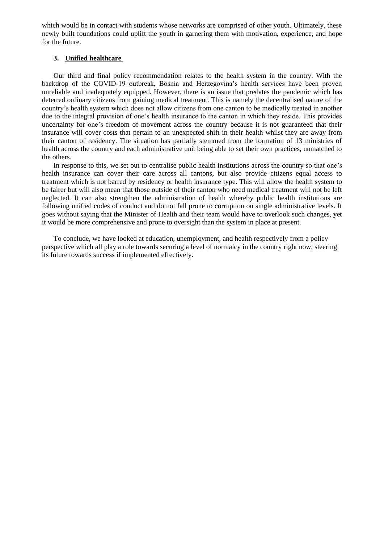which would be in contact with students whose networks are comprised of other youth. Ultimately, these newly built foundations could uplift the youth in garnering them with motivation, experience, and hope for the future.

#### **3. Unified healthcare**

Our third and final policy recommendation relates to the health system in the country. With the backdrop of the COVID-19 outbreak, Bosnia and Herzegovina's health services have been proven unreliable and inadequately equipped. However, there is an issue that predates the pandemic which has deterred ordinary citizens from gaining medical treatment. This is namely the decentralised nature of the country's health system which does not allow citizens from one canton to be medically treated in another due to the integral provision of one's health insurance to the canton in which they reside. This provides uncertainty for one's freedom of movement across the country because it is not guaranteed that their insurance will cover costs that pertain to an unexpected shift in their health whilst they are away from their canton of residency. The situation has partially stemmed from the formation of 13 ministries of health across the country and each administrative unit being able to set their own practices, unmatched to the others.

In response to this, we set out to centralise public health institutions across the country so that one's health insurance can cover their care across all cantons, but also provide citizens equal access to treatment which is not barred by residency or health insurance type. This will allow the health system to be fairer but will also mean that those outside of their canton who need medical treatment will not be left neglected. It can also strengthen the administration of health whereby public health institutions are following unified codes of conduct and do not fall prone to corruption on single administrative levels. It goes without saying that the Minister of Health and their team would have to overlook such changes, yet it would be more comprehensive and prone to oversight than the system in place at present.

To conclude, we have looked at education, unemployment, and health respectively from a policy perspective which all play a role towards securing a level of normalcy in the country right now, steering its future towards success if implemented effectively.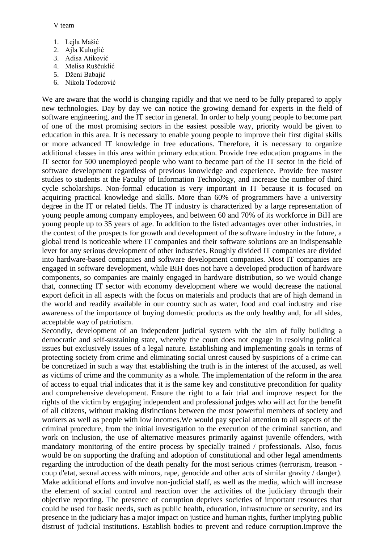V team

- 1. Lejla Mašić
- 2. Ajla Kuluglić
- 3. Adisa Atiković
- 4. Melisa Ruščuklić
- 5. Dženi Babajić
- 6. Nikola Todorović

We are aware that the world is changing rapidly and that we need to be fully prepared to apply new technologies. Day by day we can notice the growing demand for experts in the field of software engineering, and the IT sector in general. In order to help young people to become part of one of the most promising sectors in the easiest possible way, priority would be given to education in this area. It is necessary to enable young people to improve their first digital skills or more advanced IT knowledge in free educations. Therefore, it is necessary to organize additional classes in this area within primary education. Provide free education programs in the IT sector for 500 unemployed people who want to become part of the IT sector in the field of software development regardless of previous knowledge and experience. Provide free master studies to students at the Faculty of Information Technology, and increase the number of third cycle scholarships. Non-formal education is very important in IT because it is focused on acquiring practical knowledge and skills. More than 60% of programmers have a university degree in the IT or related fields. The IT industry is characterized by a large representation of young people among company employees, and between 60 and 70% of its workforce in BiH are young people up to 35 years of age. In addition to the listed advantages over other industries, in the context of the prospects for growth and development of the software industry in the future, a global trend is noticeable where IT companies and their software solutions are an indispensable lever for any serious development of other industries. Roughly divided IT companies are divided into hardware-based companies and software development companies. Most IT companies are engaged in software development, while BiH does not have a developed production of hardware components, so companies are mainly engaged in hardware distribution, so we would change that, connecting IT sector with economy development where we would decrease the national export deficit in all aspects with the focus on materials and products that are of high demand in the world and readily available in our country such as water, food and coal industry and rise awareness of the importance of buying domestic products as the only healthy and, for all sides, acceptable way of patriotism.

Secondly, development of an independent judicial system with the aim of fully building a democratic and self-sustaining state, whereby the court does not engage in resolving political issues but exclusively issues of a legal nature. Establishing and implementing goals in terms of protecting society from crime and eliminating social unrest caused by suspicions of a crime can be concretized in such a way that establishing the truth is in the interest of the accused, as well as victims of crime and the community as a whole. The implementation of the reform in the area of access to equal trial indicates that it is the same key and constitutive precondition for quality and comprehensive development. Ensure the right to a fair trial and improve respect for the rights of the victim by engaging independent and professional judges who will act for the benefit of all citizens, without making distinctions between the most powerful members of society and workers as well as people with low incomes.We would pay special attention to all aspects of the criminal procedure, from the initial investigation to the execution of the criminal sanction, and work on inclusion, the use of alternative measures primarily against juvenile offenders, with mandatory monitoring of the entire process by specially trained / professionals. Also, focus would be on supporting the drafting and adoption of constitutional and other legal amendments regarding the introduction of the death penalty for the most serious crimes (terrorism, treason coup d'etat, sexual access with minors, rape, genocide and other acts of similar gravity / danger). Make additional efforts and involve non-judicial staff, as well as the media, which will increase the element of social control and reaction over the activities of the judiciary through their objective reporting. The presence of corruption deprives societies of important resources that could be used for basic needs, such as public health, education, infrastructure or security, and its presence in the judiciary has a major impact on justice and human rights, further implying public distrust of judicial institutions. Establish bodies to prevent and reduce corruption.Improve the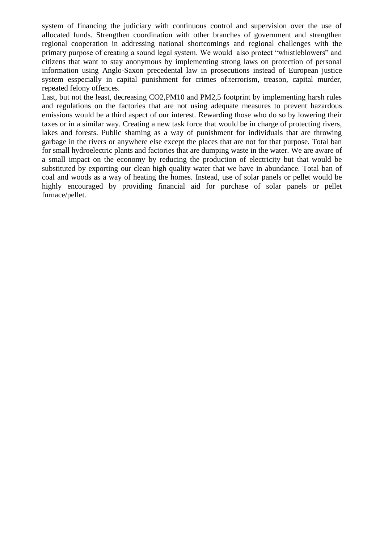system of financing the judiciary with continuous control and supervision over the use of allocated funds. Strengthen coordination with other branches of government and strengthen regional cooperation in addressing national shortcomings and regional challenges with the primary purpose of creating a sound legal system. We would also protect "whistleblowers" and citizens that want to stay anonymous by implementing strong laws on protection of personal information using Anglo-Saxon precedental law in prosecutions instead of European justice system esspecially in capital punishment for crimes of:terrorism, treason, capital murder, repeated felony offences.

Last, but not the least, decreasing CO2,PM10 and PM2,5 footprint by implementing harsh rules and regulations on the factories that are not using adequate measures to prevent hazardous emissions would be a third aspect of our interest. Rewarding those who do so by lowering their taxes or in a similar way. Creating a new task force that would be in charge of protecting rivers, lakes and forests. Public shaming as a way of punishment for individuals that are throwing garbage in the rivers or anywhere else except the places that are not for that purpose. Total ban for small hydroelectric plants and factories that are dumping waste in the water. We are aware of a small impact on the economy by reducing the production of electricity but that would be substituted by exporting our clean high quality water that we have in abundance. Total ban of coal and woods as a way of heating the homes. Instead, use of solar panels or pellet would be highly encouraged by providing financial aid for purchase of solar panels or pellet furnace/pellet.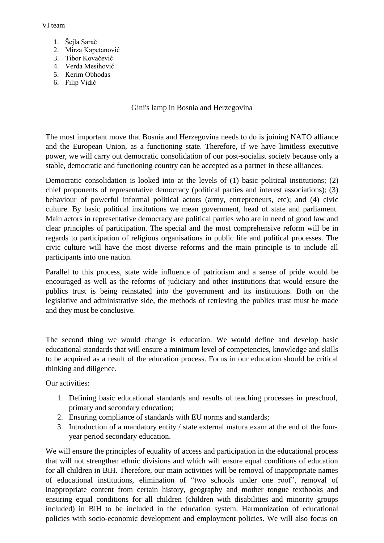#### VI team

- 1. Šejla Sarač
- 2. Mirza Kapetanović
- 3. Tibor Kovačević
- 4. Verda Mesihović
- 5. Kerim Obhođas
- 6. Filip Vidić

Gini's lamp in Bosnia and Herzegovina

The most important move that Bosnia and Herzegovina needs to do is joining NATO alliance and the European Union, as a functioning state. Therefore, if we have limitless executive power, we will carry out democratic consolidation of our post-socialist society because only a stable, democratic and functioning country can be accepted as a partner in these alliances.

Democratic consolidation is looked into at the levels of (1) basic political institutions; (2) chief proponents of representative democracy (political parties and interest associations); (3) behaviour of powerful informal political actors (army, entrepreneurs, etc); and (4) civic culture. By basic political institutions we mean government, head of state and parliament. Main actors in representative democracy are political parties who are in need of good law and clear principles of participation. The special and the most comprehensive reform will be in regards to participation of religious organisations in public life and political processes. The civic culture will have the most diverse reforms and the main principle is to include all participants into one nation.

Parallel to this process, state wide influence of patriotism and a sense of pride would be encouraged as well as the reforms of judiciary and other institutions that would ensure the publics trust is being reinstated into the government and its institutions. Both on the legislative and administrative side, the methods of retrieving the publics trust must be made and they must be conclusive.

The second thing we would change is education. We would define and develop basic educational standards that will ensure a minimum level of competencies, knowledge and skills to be acquired as a result of the education process. Focus in our education should be critical thinking and diligence.

Our activities:

- 1. Defining basic educational standards and results of teaching processes in preschool, primary and secondary education;
- 2. Ensuring compliance of standards with EU norms and standards;
- 3. Introduction of a mandatory entity / state external matura exam at the end of the fouryear period secondary education.

We will ensure the principles of equality of access and participation in the educational process that will not strengthen ethnic divisions and which will ensure equal conditions of education for all children in BiH. Therefore, our main activities will be removal of inappropriate names of educational institutions, elimination of "two schools under one roof", removal of inappropriate content from certain history, geography and mother tongue textbooks and ensuring equal conditions for all children (children with disabilities and minority groups included) in BiH to be included in the education system. Harmonization of educational policies with socio-economic development and employment policies. We will also focus on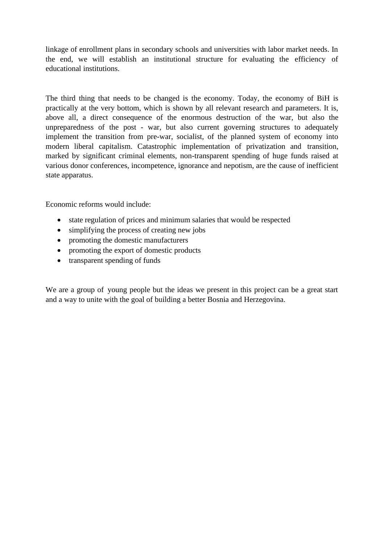linkage of enrollment plans in secondary schools and universities with labor market needs. In the end, we will establish an institutional structure for evaluating the efficiency of educational institutions.

The third thing that needs to be changed is the economy. Today, the economy of BiH is practically at the very bottom, which is shown by all relevant research and parameters. It is, above all, a direct consequence of the enormous destruction of the war, but also the unpreparedness of the post - war, but also current governing structures to adequately implement the transition from pre-war, socialist, of the planned system of economy into modern liberal capitalism. Catastrophic implementation of privatization and transition, marked by significant criminal elements, non-transparent spending of huge funds raised at various donor conferences, incompetence, ignorance and nepotism, are the cause of inefficient state apparatus.

Economic reforms would include:

- state regulation of prices and minimum salaries that would be respected
- simplifying the process of creating new jobs
- promoting the domestic manufacturers
- promoting the export of domestic products
- transparent spending of funds

We are a group of young people but the ideas we present in this project can be a great start and a way to unite with the goal of building a better Bosnia and Herzegovina.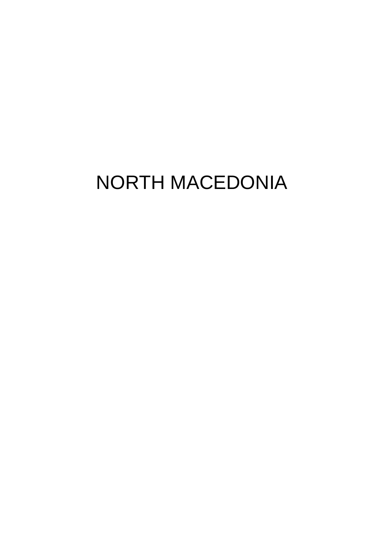# NORTH MACEDONIA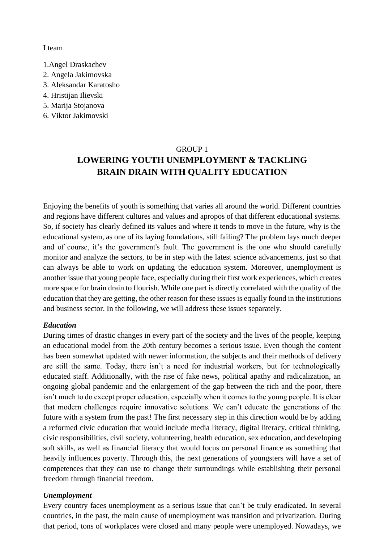I team

- 1.Angel Draskachev
- 2. Angela Jakimovska
- 3. Aleksandar Karatosho
- 4. Hristijan Ilievski
- 5. Marija Stojanova
- 6. Viktor Jakimovski

#### GROUP 1

# **LOWERING YOUTH UNEMPLOYMENT & TACKLING BRAIN DRAIN WITH QUALITY EDUCATION**

Enjoying the benefits of youth is something that varies all around the world. Different countries and regions have different cultures and values and apropos of that different educational systems. So, if society has clearly defined its values and where it tends to move in the future, why is the educational system, as one of its laying foundations, still failing? The problem lays much deeper and of course, it's the government's fault. The government is the one who should carefully monitor and analyze the sectors, to be in step with the latest science advancements, just so that can always be able to work on updating the education system. Moreover, unemployment is another issue that young people face, especially during their first work experiences, which creates more space for brain drain to flourish. While one part is directly correlated with the quality of the education that they are getting, the other reason for these issues is equally found in the institutions and business sector. In the following, we will address these issues separately.

#### *Education*

During times of drastic changes in every part of the society and the lives of the people, keeping an educational model from the 20th century becomes a serious issue. Even though the content has been somewhat updated with newer information, the subjects and their methods of delivery are still the same. Today, there isn't a need for industrial workers, but for technologically educated staff. Additionally, with the rise of fake news, political apathy and radicalization, an ongoing global pandemic and the enlargement of the gap between the rich and the poor, there isn't much to do except proper education, especially when it comes to the young people. It is clear that modern challenges require innovative solutions. We can't educate the generations of the future with a system from the past! The first necessary step in this direction would be by adding a reformed civic education that would include media literacy, digital literacy, critical thinking, civic responsibilities, civil society, volunteering, health education, sex education, and developing soft skills, as well as financial literacy that would focus on personal finance as something that heavily influences poverty. Through this, the next generations of youngsters will have a set of competences that they can use to change their surroundings while establishing their personal freedom through financial freedom.

#### *Unemployment*

Every country faces unemployment as a serious issue that can't be truly eradicated. In several countries, in the past, the main cause of unemployment was transition and privatization. During that period, tons of workplaces were closed and many people were unemployed. Nowadays, we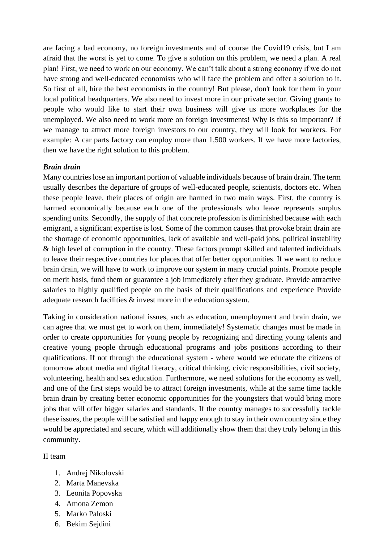are facing a bad economy, no foreign investments and of course the Covid19 crisis, but I am afraid that the worst is yet to come. To give a solution on this problem, we need a plan. A real plan! First, we need to work on our economy. We can't talk about a strong economy if we do not have strong and well-educated economists who will face the problem and offer a solution to it. So first of all, hire the best economists in the country! But please, don't look for them in your local political headquarters. We also need to invest more in our private sector. Giving grants to people who would like to start their own business will give us more workplaces for the unemployed. We also need to work more on foreign investments! Why is this so important? If we manage to attract more foreign investors to our country, they will look for workers. For example: A car parts factory can employ more than 1,500 workers. If we have more factories, then we have the right solution to this problem.

# *Brain drain*

Many countries lose an important portion of valuable individuals because of brain drain. The term usually describes the departure of groups of well-educated people, scientists, doctors etc. When these people leave, their places of origin are harmed in two main ways. First, the country is harmed economically because each one of the professionals who leave represents surplus spending units. Secondly, the supply of that concrete profession is diminished because with each emigrant, a significant expertise is lost. Some of the common causes that provoke brain drain are the shortage of economic opportunities, lack of available and well-paid jobs, political instability & high level of corruption in the country. These factors prompt skilled and talented individuals to leave their respective countries for places that offer better opportunities. If we want to reduce brain drain, we will have to work to improve our system in many crucial points. Promote people on merit basis, fund them or guarantee a job immediately after they graduate. Provide attractive salaries to highly qualified people on the basis of their qualifications and experience Provide adequate research facilities & invest more in the education system.

Taking in consideration national issues, such as education, unemployment and brain drain, we can agree that we must get to work on them, immediately! Systematic changes must be made in order to create opportunities for young people by recognizing and directing young talents and creative young people through educational programs and jobs positions according to their qualifications. If not through the educational system - where would we educate the citizens of tomorrow about media and digital literacy, critical thinking, civic responsibilities, civil society, volunteering, health and sex education. Furthermore, we need solutions for the economy as well, and one of the first steps would be to attract foreign investments, while at the same time tackle brain drain by creating better economic opportunities for the youngsters that would bring more jobs that will offer bigger salaries and standards. If the country manages to successfully tackle these issues, the people will be satisfied and happy enough to stay in their own country since they would be appreciated and secure, which will additionally show them that they truly belong in this community.

# II team

- 1. Andrej Nikolovski
- 2. Marta Manevska
- 3. Leonita Popovska
- 4. Amona Zemon
- 5. Marko Paloski
- 6. Bekim Sejdini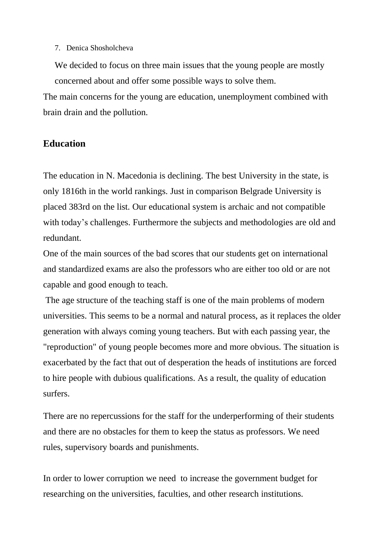# 7. Denica Shosholcheva

We decided to focus on three main issues that the young people are mostly concerned about and offer some possible ways to solve them.

The main concerns for the young are education, unemployment combined with brain drain and the pollution.

# **Education**

The education in N. Macedonia is declining. The best University in the state, is only 1816th in the world rankings. Just in comparison Belgrade University is placed 383rd on the list. Our educational system is archaic and not compatible with today's challenges. Furthermore the subjects and methodologies are old and redundant.

One of the main sources of the bad scores that our students get on international and standardized exams are also the professors who are either too old or are not capable and good enough to teach.

The age structure of the teaching staff is one of the main problems of modern universities. This seems to be a normal and natural process, as it replaces the older generation with always coming young teachers. But with each passing year, the "reproduction" of young people becomes more and more obvious. The situation is exacerbated by the fact that out of desperation the heads of institutions are forced to hire people with dubious qualifications. As a result, the quality of education surfers.

There are no repercussions for the staff for the underperforming of their students and there are no obstacles for them to keep the status as professors. We need rules, supervisory boards and punishments.

In order to lower corruption we need to increase the government budget for researching on the universities, faculties, and other research institutions.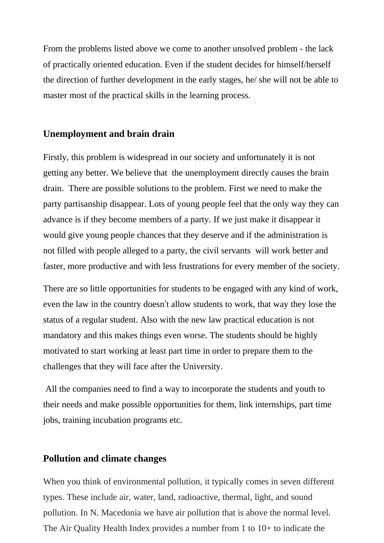From the problems listed above we come to another unsolved problem - the lack of practically oriented education. Even if the student decides for himself/herself the direction of further development in the early stages, he/ she will not be able to master most of the practical skills in the learning process.

# **Unemployment and brain drain**

Firstly, this problem is widespread in our society and unfortunately it is not getting any better. We believe that the unemployment directly causes the brain drain. There are possible solutions to the problem. First we need to make the party partisanship disappear. Lots of young people feel that the only way they can advance is if they become members of a party. If we just make it disappear it would give young people chances that they deserve and if the administration is not filled with people alleged to a party, the civil servants will work better and faster, more productive and with less frustrations for every member of the society.

There are so little opportunities for students to be engaged with any kind of work, even the law in the country doesn't allow students to work, that way they lose the status of a regular student. Also with the new law practical education is not mandatory and this makes things even worse. The students should be highly motivated to start working at least part time in order to prepare them to the challenges that they will face after the University.

All the companies need to find a way to incorporate the students and youth to their needs and make possible opportunities for them, link internships, part time jobs, training incubation programs etc.

# **Pollution and climate changes**

When you think of environmental pollution, it typically comes in seven different types. These include air, water, land, radioactive, thermal, light, and sound pollution. In N. Macedonia we have air pollution that is above the normal level. The Air Quality Health Index provides a number from 1 to 10+ to indicate the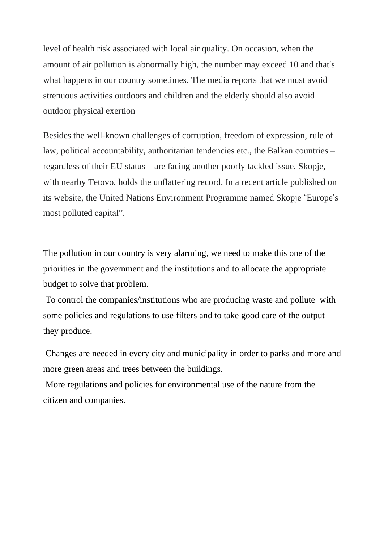level of health risk associated with local air quality. On occasion, when the amount of air pollution is abnormally high, the number may exceed 10 and that's what happens in our country sometimes. The media reports that we must avoid strenuous activities outdoors and children and the elderly should also avoid outdoor physical exertion

Besides the well-known challenges of corruption, freedom of expression, rule of law, political accountability, authoritarian tendencies etc., the Balkan countries – regardless of their EU status – are facing another poorly tackled issue. Skopje, with nearby Tetovo, holds the unflattering record. In a recent article published on its website, the United Nations Environment Programme named Skopje "Europe's most polluted capital".

The pollution in our country is very alarming, we need to make this one of the priorities in the government and the institutions and to allocate the appropriate budget to solve that problem.

To control the companies/institutions who are producing waste and pollute with some policies and regulations to use filters and to take good care of the output they produce.

Changes are needed in every city and municipality in order to parks and more and more green areas and trees between the buildings.

More regulations and policies for environmental use of the nature from the citizen and companies.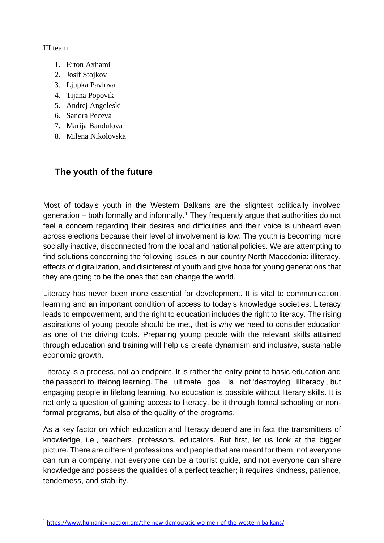# III team

- 1. Erton Axhami
- 2. Josif Stojkov
- 3. Ljupka Pavlova
- 4. Tijana Popovik
- 5. Andrej Angeleski
- 6. Sandra Peceva
- 7. Marija Bandulova
- 8. Milena Nikolovska

# **The youth of the future**

Most of today's youth in the Western Balkans are the slightest politically involved generation – both formally and informally.<sup>1</sup> They frequently argue that authorities do not feel a concern regarding their desires and difficulties and their voice is unheard even across elections because their level of involvement is low. The youth is becoming more socially inactive, disconnected from the local and national policies. We are attempting to find solutions concerning the following issues in our country North Macedonia: illiteracy, effects of digitalization, and disinterest of youth and give hope for young generations that they are going to be the ones that can change the world.

Literacy has never been more essential for development. It is vital to communication, learning and an important condition of access to today's knowledge societies. Literacy leads to empowerment, and the right to education includes the right to literacy. The rising aspirations of young people should be met, that is why we need to consider education as one of the driving tools. Preparing young people with the relevant skills attained through education and training will help us create dynamism and inclusive, sustainable economic growth.

Literacy is a process, not an endpoint. It is rather the entry point to basic education and the passport to lifelong learning. The ultimate goal is not 'destroying illiteracy', but engaging people in lifelong learning. No education is possible without literary skills. It is not only a question of gaining access to literacy, be it through formal schooling or nonformal programs, but also of the quality of the programs.

As a key factor on which education and literacy depend are in fact the transmitters of knowledge, i.e., teachers, professors, educators. But first, let us look at the bigger picture. There are different professions and people that are meant for them, not everyone can run a company, not everyone can be a tourist guide, and not everyone can share knowledge and possess the qualities of a perfect teacher; it requires kindness, patience, tenderness, and stability.

<sup>1</sup> <https://www.humanityinaction.org/the-new-democratic-wo-men-of-the-western-balkans/>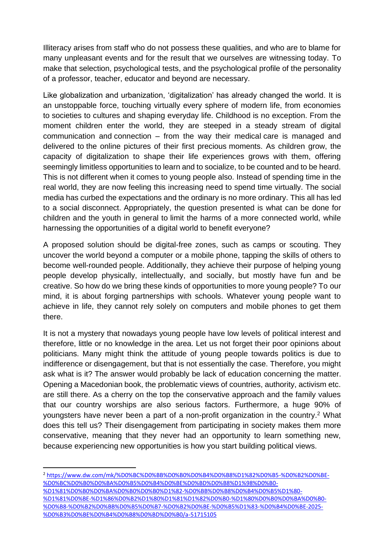Illiteracy arises from staff who do not possess these qualities, and who are to blame for many unpleasant events and for the result that we ourselves are witnessing today. To make that selection, psychological tests, and the psychological profile of the personality of a professor, teacher, educator and beyond are necessary.

Like globalization and urbanization, 'digitalization' has already changed the world. It is an unstoppable force, touching virtually every sphere of modern life, from economies to societies to cultures and shaping everyday life. Childhood is no exception. From the moment children enter the world, they are steeped in a steady stream of digital communication and connection – from the way their medical care is managed and delivered to the online pictures of their first precious moments. As children grow, the capacity of digitalization to shape their life experiences grows with them, offering seemingly limitless opportunities to learn and to socialize, to be counted and to be heard. This is not different when it comes to young people also. Instead of spending time in the real world, they are now feeling this increasing need to spend time virtually. The social media has curbed the expectations and the ordinary is no more ordinary. This all has led to a social disconnect. Appropriately, the question presented is what can be done for children and the youth in general to limit the harms of a more connected world, while harnessing the opportunities of a digital world to benefit everyone?

A proposed solution should be digital-free zones, such as camps or scouting. They uncover the world beyond a computer or a mobile phone, tapping the skills of others to become well-rounded people. Additionally, they achieve their purpose of helping young people develop physically, intellectually, and socially, but mostly have fun and be creative. So how do we bring these kinds of opportunities to more young people? To our mind, it is about forging partnerships with schools. Whatever young people want to achieve in life, they cannot rely solely on computers and mobile phones to get them there.

It is not a mystery that nowadays young people have low levels of political interest and therefore, little or no knowledge in the area. Let us not forget their poor opinions about politicians. Many might think the attitude of young people towards politics is due to indifference or disengagement, but that is not essentially the case. Therefore, you might ask what is it? The answer would probably be lack of education concerning the matter. Opening a Macedonian book, the problematic views of countries, authority, activism etc. are still there. As a cherry on the top the conservative approach and the family values that our country worships are also serious factors. Furthermore, a huge 90% of youngsters have never been a part of a non-profit organization in the country.<sup>2</sup> What does this tell us? Their disengagement from participating in society makes them more conservative, meaning that they never had an opportunity to learn something new, because experiencing new opportunities is how you start building political views.

<sup>2</sup> [https://www.dw.com/mk/%D0%BC%D0%BB%D0%B0%D0%B4%D0%B8%D1%82%D0%B5-%D0%B2%D0%BE-](https://www.dw.com/mk/%D0%BC%D0%BB%D0%B0%D0%B4%D0%B8%D1%82%D0%B5-%D0%B2%D0%BE-%D0%BC%D0%B0%D0%BA%D0%B5%D0%B4%D0%BE%D0%BD%D0%B8%D1%98%D0%B0-%D1%81%D0%B0%D0%BA%D0%B0%D0%B0%D1%82-%D0%BB%D0%B8%D0%B4%D0%B5%D1%80-%D1%81%D0%BE-%D1%86%D0%B2%D1%80%D1%81%D1%82%D0%B0-%D1%80%D0%B0%D0%BA%D0%B0-%D0%B8-%D0%B2%D0%BB%D0%B5%D0%B7-%D0%B2%D0%BE-%D0%B5%D1%83-%D0%B4%D0%BE-2025-%D0%B3%D0%BE%D0%B4%D0%B8%D0%BD%D0%B0/a-51715105) [%D0%BC%D0%B0%D0%BA%D0%B5%D0%B4%D0%BE%D0%BD%D0%B8%D1%98%D0%B0-](https://www.dw.com/mk/%D0%BC%D0%BB%D0%B0%D0%B4%D0%B8%D1%82%D0%B5-%D0%B2%D0%BE-%D0%BC%D0%B0%D0%BA%D0%B5%D0%B4%D0%BE%D0%BD%D0%B8%D1%98%D0%B0-%D1%81%D0%B0%D0%BA%D0%B0%D0%B0%D1%82-%D0%BB%D0%B8%D0%B4%D0%B5%D1%80-%D1%81%D0%BE-%D1%86%D0%B2%D1%80%D1%81%D1%82%D0%B0-%D1%80%D0%B0%D0%BA%D0%B0-%D0%B8-%D0%B2%D0%BB%D0%B5%D0%B7-%D0%B2%D0%BE-%D0%B5%D1%83-%D0%B4%D0%BE-2025-%D0%B3%D0%BE%D0%B4%D0%B8%D0%BD%D0%B0/a-51715105)

[<sup>%</sup>D1%81%D0%B0%D0%BA%D0%B0%D0%B0%D1%82-%D0%BB%D0%B8%D0%B4%D0%B5%D1%80-](https://www.dw.com/mk/%D0%BC%D0%BB%D0%B0%D0%B4%D0%B8%D1%82%D0%B5-%D0%B2%D0%BE-%D0%BC%D0%B0%D0%BA%D0%B5%D0%B4%D0%BE%D0%BD%D0%B8%D1%98%D0%B0-%D1%81%D0%B0%D0%BA%D0%B0%D0%B0%D1%82-%D0%BB%D0%B8%D0%B4%D0%B5%D1%80-%D1%81%D0%BE-%D1%86%D0%B2%D1%80%D1%81%D1%82%D0%B0-%D1%80%D0%B0%D0%BA%D0%B0-%D0%B8-%D0%B2%D0%BB%D0%B5%D0%B7-%D0%B2%D0%BE-%D0%B5%D1%83-%D0%B4%D0%BE-2025-%D0%B3%D0%BE%D0%B4%D0%B8%D0%BD%D0%B0/a-51715105) [%D1%81%D0%BE-%D1%86%D0%B2%D1%80%D1%81%D1%82%D0%B0-%D1%80%D0%B0%D0%BA%D0%B0-](https://www.dw.com/mk/%D0%BC%D0%BB%D0%B0%D0%B4%D0%B8%D1%82%D0%B5-%D0%B2%D0%BE-%D0%BC%D0%B0%D0%BA%D0%B5%D0%B4%D0%BE%D0%BD%D0%B8%D1%98%D0%B0-%D1%81%D0%B0%D0%BA%D0%B0%D0%B0%D1%82-%D0%BB%D0%B8%D0%B4%D0%B5%D1%80-%D1%81%D0%BE-%D1%86%D0%B2%D1%80%D1%81%D1%82%D0%B0-%D1%80%D0%B0%D0%BA%D0%B0-%D0%B8-%D0%B2%D0%BB%D0%B5%D0%B7-%D0%B2%D0%BE-%D0%B5%D1%83-%D0%B4%D0%BE-2025-%D0%B3%D0%BE%D0%B4%D0%B8%D0%BD%D0%B0/a-51715105) [%D0%B8-%D0%B2%D0%BB%D0%B5%D0%B7-%D0%B2%D0%BE-%D0%B5%D1%83-%D0%B4%D0%BE-2025-](https://www.dw.com/mk/%D0%BC%D0%BB%D0%B0%D0%B4%D0%B8%D1%82%D0%B5-%D0%B2%D0%BE-%D0%BC%D0%B0%D0%BA%D0%B5%D0%B4%D0%BE%D0%BD%D0%B8%D1%98%D0%B0-%D1%81%D0%B0%D0%BA%D0%B0%D0%B0%D1%82-%D0%BB%D0%B8%D0%B4%D0%B5%D1%80-%D1%81%D0%BE-%D1%86%D0%B2%D1%80%D1%81%D1%82%D0%B0-%D1%80%D0%B0%D0%BA%D0%B0-%D0%B8-%D0%B2%D0%BB%D0%B5%D0%B7-%D0%B2%D0%BE-%D0%B5%D1%83-%D0%B4%D0%BE-2025-%D0%B3%D0%BE%D0%B4%D0%B8%D0%BD%D0%B0/a-51715105) [%D0%B3%D0%BE%D0%B4%D0%B8%D0%BD%D0%B0/a-51715105](https://www.dw.com/mk/%D0%BC%D0%BB%D0%B0%D0%B4%D0%B8%D1%82%D0%B5-%D0%B2%D0%BE-%D0%BC%D0%B0%D0%BA%D0%B5%D0%B4%D0%BE%D0%BD%D0%B8%D1%98%D0%B0-%D1%81%D0%B0%D0%BA%D0%B0%D0%B0%D1%82-%D0%BB%D0%B8%D0%B4%D0%B5%D1%80-%D1%81%D0%BE-%D1%86%D0%B2%D1%80%D1%81%D1%82%D0%B0-%D1%80%D0%B0%D0%BA%D0%B0-%D0%B8-%D0%B2%D0%BB%D0%B5%D0%B7-%D0%B2%D0%BE-%D0%B5%D1%83-%D0%B4%D0%BE-2025-%D0%B3%D0%BE%D0%B4%D0%B8%D0%BD%D0%B0/a-51715105)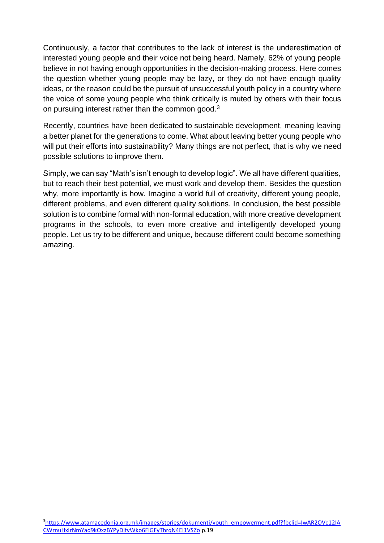Continuously, a factor that contributes to the lack of interest is the underestimation of interested young people and their voice not being heard. Namely, 62% of young people believe in not having enough opportunities in the decision-making process. Here comes the question whether young people may be lazy, or they do not have enough quality ideas, or the reason could be the pursuit of unsuccessful youth policy in a country where the voice of some young people who think critically is muted by others with their focus on pursuing interest rather than the common good.<sup>3</sup>

Recently, countries have been dedicated to sustainable development, meaning leaving a better planet for the generations to come. What about leaving better young people who will put their efforts into sustainability? Many things are not perfect, that is why we need possible solutions to improve them.

Simply, we can say "Math's isn't enough to develop logic". We all have different qualities, but to reach their best potential, we must work and develop them. Besides the question why, more importantly is how. Imagine a world full of creativity, different young people, different problems, and even different quality solutions. In conclusion, the best possible solution is to combine formal with non-formal education, with more creative development programs in the schools, to even more creative and intelligently developed young people. Let us try to be different and unique, because different could become something amazing.

<sup>3</sup>[https://www.atamacedonia.org.mk/images/stories/dokumenti/youth\\_empowerment.pdf?fbclid=IwAR2OVc12IA](https://www.atamacedonia.org.mk/images/stories/dokumenti/youth_empowerment.pdf?fbclid=IwAR2OVc12IACWrnuHxlrNmYad9kOxzBYPyDlfvWko6FIGFyThrqN4EI1VSZo) [CWrnuHxlrNmYad9kOxzBYPyDlfvWko6FIGFyThrqN4EI1VSZo](https://www.atamacedonia.org.mk/images/stories/dokumenti/youth_empowerment.pdf?fbclid=IwAR2OVc12IACWrnuHxlrNmYad9kOxzBYPyDlfvWko6FIGFyThrqN4EI1VSZo) p.19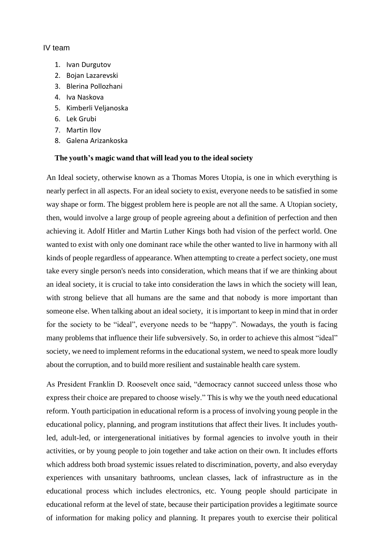#### IV team

- 1. Ivan Durgutov
- 2. Bojan Lazarevski
- 3. Blerina Pollozhani
- 4. Iva Naskova
- 5. Kimberli Veljanoska
- 6. Lek Grubi
- 7. Martin Ilov
- 8. Galena Arizankoska

#### **The youth's magic wand that will lead you to the ideal society**

An Ideal society, otherwise known as a Thomas Mores Utopia, is one in which everything is nearly perfect in all aspects. For an ideal society to exist, everyone needs to be satisfied in some way shape or form. The biggest problem here is people are not all the same. A Utopian society, then, would involve a large group of people agreeing about a definition of perfection and then achieving it. Adolf Hitler and Martin Luther Kings both had vision of the perfect world. One wanted to exist with only one dominant race while the other wanted to live in harmony with all kinds of people regardless of appearance. When attempting to create a perfect society, one must take every single person's needs into consideration, which means that if we are thinking about an ideal society, it is crucial to take into consideration the laws in which the society will lean, with strong believe that all humans are the same and that nobody is more important than someone else. When talking about an ideal society, it isimportant to keep in mind that in order for the society to be "ideal", everyone needs to be "happy". Nowadays, the youth is facing many problems that influence their life subversively. So, in order to achieve this almost "ideal" society, we need to implement reforms in the educational system, we need to speak more loudly about the corruption, and to build more resilient and sustainable health care system.

As President Franklin D. Roosevelt once said, "democracy cannot succeed unless those who express their choice are prepared to choose wisely." This is why we the youth need educational reform. Youth participation in educational reform is a process of involving young people in the educational policy, planning, and program institutions that affect their lives. It includes youthled, adult-led, or intergenerational initiatives by formal agencies to involve youth in their activities, or by young people to join together and take action on their own. It includes efforts which address both broad systemic issues related to discrimination, poverty, and also everyday experiences with unsanitary bathrooms, unclean classes, lack of infrastructure as in the educational process which includes electronics, etc. Young people should participate in educational reform at the level of state, because their participation provides a legitimate source of information for making policy and planning. It prepares youth to exercise their political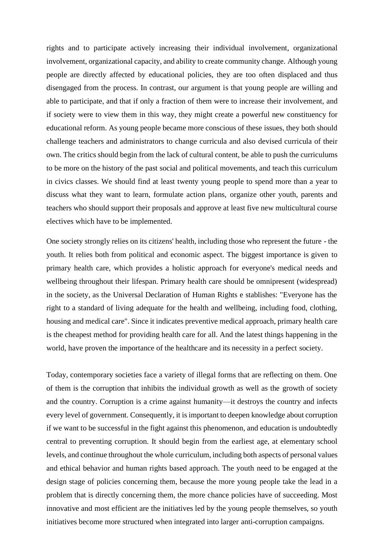rights and to participate actively increasing their individual involvement, organizational involvement, organizational capacity, and ability to create community change. Although young people are directly affected by educational policies, they are too often displaced and thus disengaged from the process. In contrast, our argument is that young people are willing and able to participate, and that if only a fraction of them were to increase their involvement, and if society were to view them in this way, they might create a powerful new constituency for educational reform. As young people became more conscious of these issues, they both should challenge teachers and administrators to change curricula and also devised curricula of their own. The critics should begin from the lack of cultural content, be able to push the curriculums to be more on the history of the past social and political movements, and teach this curriculum in civics classes. We should find at least twenty young people to spend more than a year to discuss what they want to learn, formulate action plans, organize other youth, parents and teachers who should support their proposals and approve at least five new multicultural course electives which have to be implemented.

One society strongly relies on its citizens' health, including those who represent the future - the youth. It relies both from political and economic aspect. The biggest importance is given to primary health care, which provides a holistic approach for everyone's medical needs and wellbeing throughout their lifespan. Primary health care should be omnipresent (widespread) in the society, as the Universal Declaration of Human Rights e stablishes: "Everyone has the right to a standard of living adequate for the health and wellbeing, including food, clothing, housing and medical care". Since it indicates preventive medical approach, primary health care is the cheapest method for providing health care for all. And the latest things happening in the world, have proven the importance of the healthcare and its necessity in a perfect society.

Today, contemporary societies face a variety of illegal forms that are reflecting on them. One of them is the corruption that inhibits the individual growth as well as the growth of society and the country. Corruption is a crime against humanity—it destroys the country and infects every level of government. Consequently, it isimportant to deepen knowledge about corruption if we want to be successful in the fight against this phenomenon, and education is undoubtedly central to preventing corruption. It should begin from the earliest age, at elementary school levels, and continue throughout the whole curriculum, including both aspects of personal values and ethical behavior and human rights based approach. The youth need to be engaged at the design stage of policies concerning them, because the more young people take the lead in a problem that is directly concerning them, the more chance policies have of succeeding. Most innovative and most efficient are the initiatives led by the young people themselves, so youth initiatives become more structured when integrated into larger anti-corruption campaigns.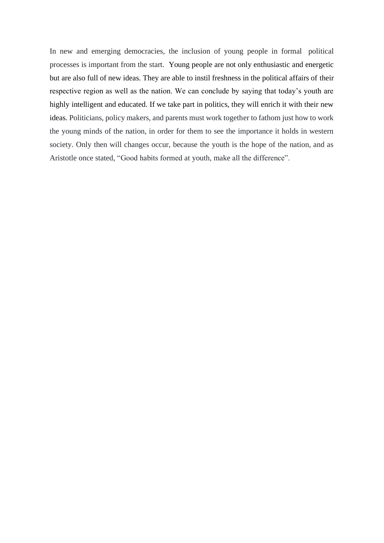In new and emerging democracies, the inclusion of young people in formal political processes is important from the start. Young people are not only enthusiastic and energetic but are also full of new ideas. They are able to instil freshness in the political affairs of their respective region as well as the nation. We can conclude by saying that today's youth are highly intelligent and educated. If we take part in politics, they will enrich it with their new ideas. Politicians, policy makers, and parents must work together to fathom just how to work the young minds of the nation, in order for them to see the importance it holds in western society. Only then will changes occur, because the youth is the hope of the nation, and as Aristotle once stated, "Good habits formed at youth, make all the difference".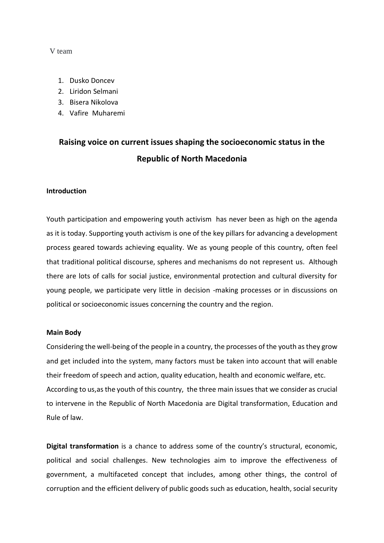#### V team

- 1. Dusko Doncev
- 2. Liridon Selmani
- 3. Bisera Nikolova
- 4. Vafire Muharemi

# **Raising voice on current issues shaping the socioeconomic status in the Republic of North Macedonia**

#### **Introduction**

Youth participation and empowering youth activism has never been as high on the agenda as it is today. Supporting youth activism is one of the key pillars for advancing a development process geared towards achieving equality. We as young people of this country, often feel that traditional political discourse, spheres and mechanisms do not represent us. Although there are lots of calls for social justice, environmental protection and cultural diversity for young people, we participate very little in decision -making processes or in discussions on political or socioeconomic issues concerning the country and the region.

#### **Main Body**

Considering the well-being of the people in a country, the processes of the youth as they grow and get included into the system, many factors must be taken into account that will enable their freedom of speech and action, quality education, health and economic welfare, etc. According to us,as the youth of this country, the three main issues that we consider as crucial to intervene in the Republic of North Macedonia are Digital transformation, Education and Rule of law.

**Digital transformation** is a chance to address some of the country's structural, economic, political and social challenges. New technologies aim to improve the effectiveness of government, a multifaceted concept that includes, among other things, the control of corruption and the efficient delivery of public goods such as education, health, social security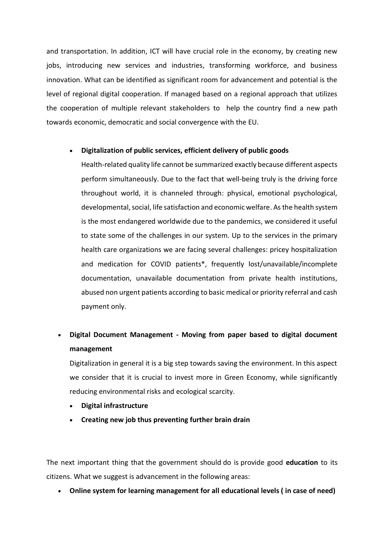and transportation. In addition, ICT will have crucial role in the economy, by creating new jobs, introducing new services and industries, transforming workforce, and business innovation. What can be identified as significant room for advancement and potential is the level of regional digital cooperation. If managed based on a regional approach that utilizes the cooperation of multiple relevant stakeholders to help the country find a new path towards economic, democratic and social convergence with the EU.

# • **Digitalization of public services, efficient delivery of public goods**

Health-related quality life cannot be summarized exactly because different aspects perform simultaneously. Due to the fact that well-being truly is the driving force throughout world, it is channeled through: physical, emotional psychological, developmental, social, life satisfaction and economic welfare. As the health system is the most endangered worldwide due to the pandemics, we considered it useful to state some of the challenges in our system. Up to the services in the primary health care organizations we are facing several challenges: pricey hospitalization and medication for COVID patients\*, frequently lost/unavailable/incomplete documentation, unavailable documentation from private health institutions, abused non urgent patients according to basic medical or priority referral and cash payment only.

# • **Digital Document Management - Moving from paper based to digital document management**

Digitalization in general it is a big step towards saving the environment. In this aspect we consider that it is crucial to invest more in Green Economy, while significantly reducing environmental risks and ecological scarcity.

- **Digital infrastructure**
- **Creating new job thus preventing further brain drain**

The next important thing that the government should do is provide good **education** to its citizens. What we suggest is advancement in the following areas:

• **Online system for learning management for all educational levels ( in case of need)**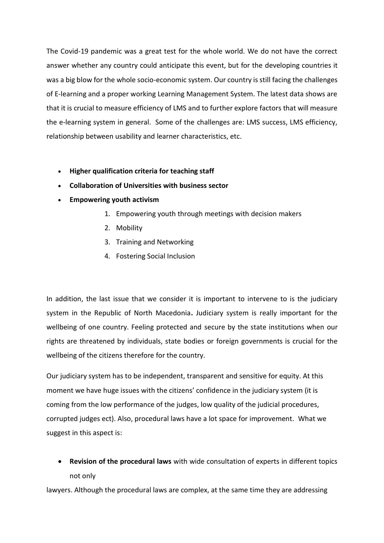The Covid-19 pandemic was a great test for the whole world. We do not have the correct answer whether any country could anticipate this event, but for the developing countries it was a big blow for the whole socio-economic system. Our country is still facing the challenges of E-learning and a proper working Learning Management System. The latest data shows are that it is crucial to measure efficiency of LMS and to further explore factors that will measure the e-learning system in general. Some of the challenges are: LMS success, LMS efficiency, relationship between usability and learner characteristics, etc.

- **Higher qualification criteria for teaching staff**
- **Collaboration of Universities with business sector**
- **Empowering youth activism**
	- 1. Empowering youth through meetings with decision makers
	- 2. Mobility
	- 3. Training and Networking
	- 4. Fostering Social Inclusion

In addition, the last issue that we consider it is important to intervene to is the judiciary system in the Republic of North Macedonia**.** Judiciary system is really important for the wellbeing of one country. Feeling protected and secure by the state institutions when our rights are threatened by individuals, state bodies or foreign governments is crucial for the wellbeing of the citizens therefore for the country.

Our judiciary system has to be independent, transparent and sensitive for equity. At this moment we have huge issues with the citizens' confidence in the judiciary system (it is coming from the low performance of the judges, low quality of the judicial procedures, corrupted judges ect). Also, procedural laws have a lot space for improvement. What we suggest in this aspect is:

• **Revision of the procedural laws** with wide consultation of experts in different topics not only

lawyers. Although the procedural laws are complex, at the same time they are addressing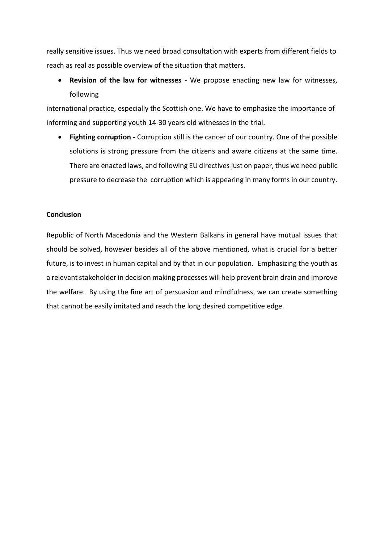really sensitive issues. Thus we need broad consultation with experts from different fields to reach as real as possible overview of the situation that matters.

• **Revision of the law for witnesses** - We propose enacting new law for witnesses, following

international practice, especially the Scottish one. We have to emphasize the importance of informing and supporting youth 14-30 years old witnesses in the trial.

• **Fighting corruption -** Corruption still is the cancer of our country. One of the possible solutions is strong pressure from the citizens and aware citizens at the same time. There are enacted laws, and following EU directives just on paper, thus we need public pressure to decrease the corruption which is appearing in many forms in our country.

#### **Conclusion**

Republic of North Macedonia and the Western Balkans in general have mutual issues that should be solved, however besides all of the above mentioned, what is crucial for a better future, is to invest in human capital and by that in our population. Emphasizing the youth as a relevant stakeholder in decision making processes will help prevent brain drain and improve the welfare. By using the fine art of persuasion and mindfulness, we can create something that cannot be easily imitated and reach the long desired competitive edge.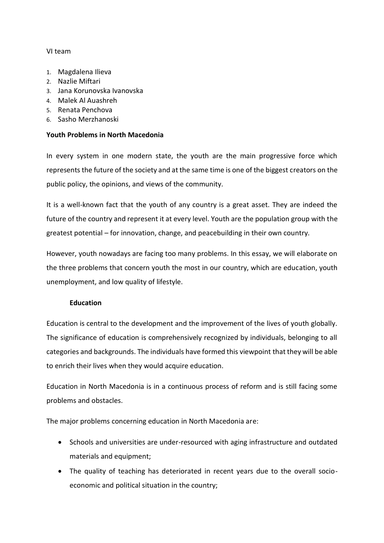### VI team

- 1. Magdalena Ilieva
- 2. Nazlie Miftari
- 3. Jana Korunovska Ivanovska
- 4. Malek Al Auashreh
- 5. Renata Penchova
- 6. Sasho Merzhanoski

# **Youth Problems in North Macedonia**

In every system in one modern state, the youth are the main progressive force which represents the future of the society and at the same time is one of the biggest creators on the public policy, the opinions, and views of the community.

It is a well-known fact that the youth of any country is a great asset. They are indeed the future of the country and represent it at every level. Youth are the population group with the greatest potential – for innovation, change, and peacebuilding in their own country.

However, youth nowadays are facing too many problems. In this essay, we will elaborate on the three problems that concern youth the most in our country, which are education, youth unemployment, and low quality of lifestyle.

#### **Education**

Education is central to the development and the improvement of the lives of youth globally. The significance of education is comprehensively recognized by individuals, belonging to all categories and backgrounds. The individuals have formed this viewpoint that they will be able to enrich their lives when they would acquire education.

Education in North Macedonia is in a continuous process of reform and is still facing some problems and obstacles.

The major problems concerning education in North Macedonia are:

- Schools and universities are under-resourced with aging infrastructure and outdated materials and equipment;
- The quality of teaching has deteriorated in recent years due to the overall socioeconomic and political situation in the country;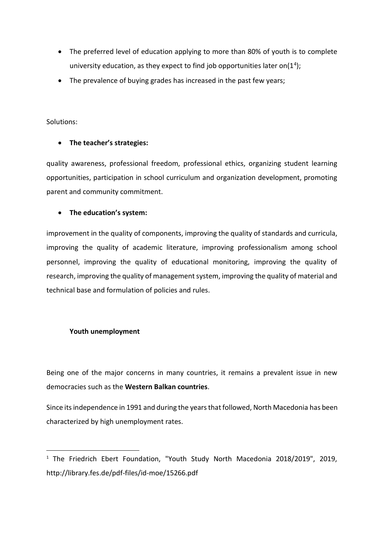- The preferred level of education applying to more than 80% of youth is to complete university education, as they expect to find job opportunities later on( $1^4$ );
- The prevalence of buying grades has increased in the past few years;

Solutions:

# • **The teacher's strategies:**

quality awareness, professional freedom, professional ethics, organizing student learning opportunities, participation in school curriculum and organization development, promoting parent and community commitment.

# • **The education's system:**

improvement in the quality of components, improving the quality of standards and curricula, improving the quality of academic literature, improving professionalism among school personnel, improving the quality of educational monitoring, improving the quality of research, improving the quality of management system, improving the quality of material and technical base and formulation of policies and rules.

#### **Youth unemployment**

Being one of the major concerns in many countries, it remains a prevalent issue in new democracies such as the **Western Balkan countries**.

Since its independence in 1991 and during the years that followed, North Macedonia has been characterized by high unemployment rates.

<sup>&</sup>lt;sup>1</sup> The Friedrich Ebert Foundation, "Youth Study North Macedonia 2018/2019", 2019, http://library.fes.de/pdf-files/id-moe/15266.pdf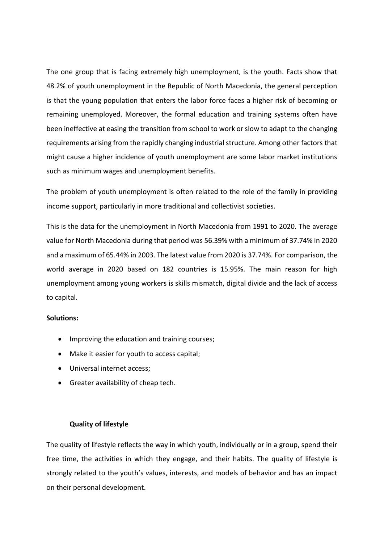The one group that is facing extremely high unemployment, is the youth. Facts show that 48.2% of youth unemployment in the Republic of North Macedonia, the general perception is that the young population that enters the labor force faces a higher risk of becoming or remaining unemployed. Moreover, the formal education and training systems often have been ineffective at easing the transition from school to work or slow to adapt to the changing requirements arising from the rapidly changing industrial structure. Among other factors that might cause a higher incidence of youth unemployment are some labor market institutions such as minimum wages and unemployment benefits.

The problem of youth unemployment is often related to the role of the family in providing income support, particularly in more traditional and collectivist societies.

This is the data for the unemployment in North Macedonia from 1991 to 2020. The average value for North Macedonia during that period was 56.39% with a minimum of 37.74% in 2020 and a maximum of 65.44% in 2003. The latest value from 2020 is 37.74%. For comparison, the world average in 2020 based on 182 countries is 15.95%. The main reason for high unemployment among young workers is skills mismatch, digital divide and the lack of access to capital.

#### **Solutions:**

- Improving the education and training courses;
- Make it easier for youth to access capital;
- Universal internet access;
- Greater availability of cheap tech.

#### **Quality of lifestyle**

The quality of lifestyle reflects the way in which youth, individually or in a group, spend their free time, the activities in which they engage, and their habits. The quality of lifestyle is strongly related to the youth's values, interests, and models of behavior and has an impact on their personal development.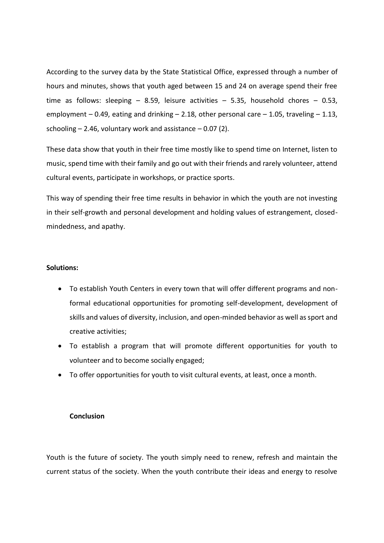According to the survey data by the State Statistical Office, expressed through a number of hours and minutes, shows that youth aged between 15 and 24 on average spend their free time as follows: sleeping  $-$  8.59, leisure activities  $-$  5.35, household chores  $-$  0.53, employment – 0.49, eating and drinking – 2.18, other personal care – 1.05, traveling – 1.13, schooling  $-$  2.46, voluntary work and assistance  $-$  0.07 (2).

These data show that youth in their free time mostly like to spend time on Internet, listen to music, spend time with their family and go out with their friends and rarely volunteer, attend cultural events, participate in workshops, or practice sports.

This way of spending their free time results in behavior in which the youth are not investing in their self-growth and personal development and holding values of estrangement, closedmindedness, and apathy.

#### **Solutions:**

- To establish Youth Centers in every town that will offer different programs and nonformal educational opportunities for promoting self-development, development of skills and values of diversity, inclusion, and open-minded behavior as well as sport and creative activities;
- To establish a program that will promote different opportunities for youth to volunteer and to become socially engaged;
- To offer opportunities for youth to visit cultural events, at least, once a month.

#### **Conclusion**

Youth is the future of society. The youth simply need to renew, refresh and maintain the current status of the society. When the youth contribute their ideas and energy to resolve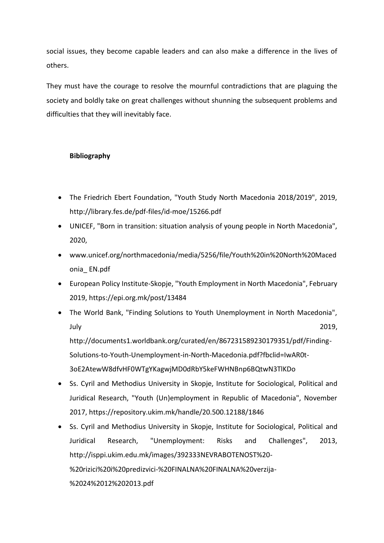social issues, they become capable leaders and can also make a difference in the lives of others.

They must have the courage to resolve the mournful contradictions that are plaguing the society and boldly take on great challenges without shunning the subsequent problems and difficulties that they will inevitably face.

# **Bibliography**

- The Friedrich Ebert Foundation, "Youth Study North Macedonia 2018/2019", 2019, http://library.fes.de/pdf-files/id-moe/15266.pdf
- UNICEF, "Born in transition: situation analysis of young people in North Macedonia", 2020,
- www.unicef.org/northmacedonia/media/5256/file/Youth%20in%20North%20Maced onia\_ EN.pdf
- European Policy Institute-Skopje, "Youth Employment in North Macedonia", February 2019, https://epi.org.mk/post/13484
- The World Bank, "Finding Solutions to Youth Unemployment in North Macedonia", July 2019, http://documents1.worldbank.org/curated/en/867231589230179351/pdf/Finding-Solutions-to-Youth-Unemployment-in-North-Macedonia.pdf?fbclid=IwAR0t-3oE2AtewW8dfvHF0WTgYKagwjMD0dRbY5keFWHNBnp6BQtwN3TlKDo
- Ss. Cyril and Methodius University in Skopje, Institute for Sociological, Political and Juridical Research, "Youth (Un)employment in Republic of Macedonia", November 2017, https://repository.ukim.mk/handle/20.500.12188/1846
- Ss. Cyril and Methodius University in Skopje, Institute for Sociological, Political and Juridical Research, "Unemployment: Risks and Challenges", 2013, http://isppi.ukim.edu.mk/images/392333NEVRABOTENOST%20- %20rizici%20i%20predizvici-%20FINALNA%20FINALNA%20verzija- %2024%2012%202013.pdf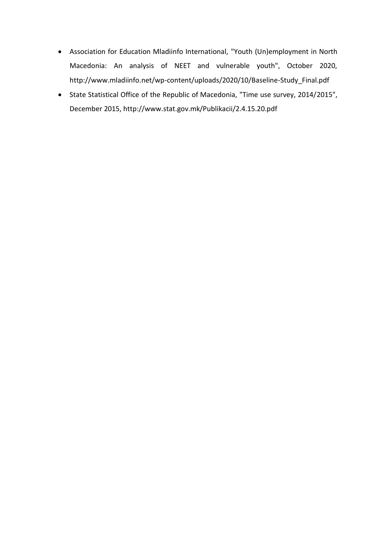- Association for Education Mladiinfo International, "Youth (Un)employment in North Macedonia: An analysis of NEET and vulnerable youth", October 2020, http://www.mladiinfo.net/wp-content/uploads/2020/10/Baseline-Study\_Final.pdf
- State Statistical Office of the Republic of Macedonia, "Time use survey, 2014/2015", December 2015, http://www.stat.gov.mk/Publikacii/2.4.15.20.pdf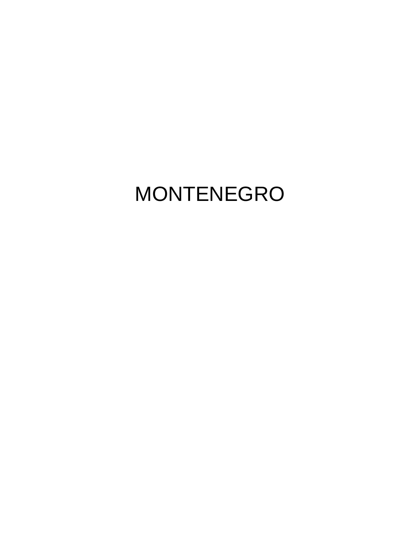# MONTENEGRO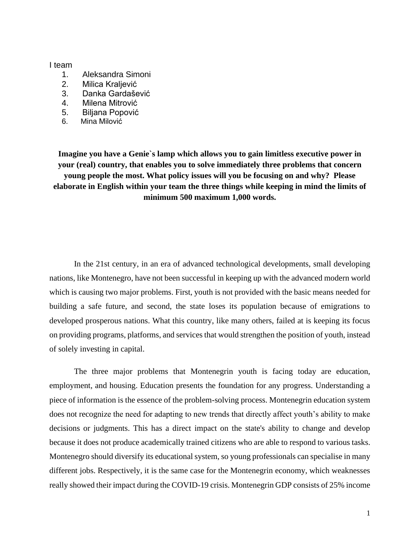#### I team

- 1. Aleksandra Simoni
- 2. Milica Kraljević
- 3. Danka Gardašević
- 4. Milena Mitrović
- 5. Biljana Popović
- 6. Mina Milović

**Imagine you have a Genie`s lamp which allows you to gain limitless executive power in your (real) country, that enables you to solve immediately three problems that concern young people the most. What policy issues will you be focusing on and why? Please elaborate in English within your team the three things while keeping in mind the limits of minimum 500 maximum 1,000 words.**

In the 21st century, in an era of advanced technological developments, small developing nations, like Montenegro, have not been successful in keeping up with the advanced modern world which is causing two major problems. First, youth is not provided with the basic means needed for building a safe future, and second, the state loses its population because of emigrations to developed prosperous nations. What this country, like many others, failed at is keeping its focus on providing programs, platforms, and services that would strengthen the position of youth, instead of solely investing in capital.

The three major problems that Montenegrin youth is facing today are education, employment, and housing. Education presents the foundation for any progress. Understanding a piece of information is the essence of the problem-solving process. Montenegrin education system does not recognize the need for adapting to new trends that directly affect youth's ability to make decisions or judgments. This has a direct impact on the state's ability to change and develop because it does not produce academically trained citizens who are able to respond to various tasks. Montenegro should diversify its educational system, so young professionals can specialise in many different jobs. Respectively, it is the same case for the Montenegrin economy, which weaknesses really showed their impact during the COVID-19 crisis. Montenegrin GDP consists of 25% income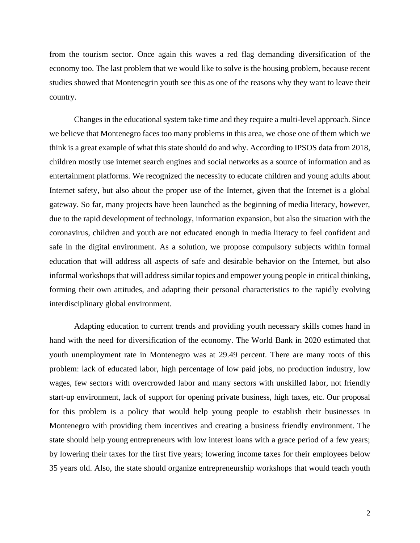from the tourism sector. Once again this waves a red flag demanding diversification of the economy too. The last problem that we would like to solve is the housing problem, because recent studies showed that Montenegrin youth see this as one of the reasons why they want to leave their country.

Changes in the educational system take time and they require a multi-level approach. Since we believe that Montenegro faces too many problems in this area, we chose one of them which we think is a great example of what this state should do and why. According to IPSOS data from 2018, children mostly use internet search engines and social networks as a source of information and as entertainment platforms. We recognized the necessity to educate children and young adults about Internet safety, but also about the proper use of the Internet, given that the Internet is a global gateway. So far, many projects have been launched as the beginning of media literacy, however, due to the rapid development of technology, information expansion, but also the situation with the coronavirus, children and youth are not educated enough in media literacy to feel confident and safe in the digital environment. As a solution, we propose compulsory subjects within formal education that will address all aspects of safe and desirable behavior on the Internet, but also informal workshops that will address similar topics and empower young people in critical thinking, forming their own attitudes, and adapting their personal characteristics to the rapidly evolving interdisciplinary global environment.

Adapting education to current trends and providing youth necessary skills comes hand in hand with the need for diversification of the economy. The World Bank in 2020 estimated that youth unemployment rate in Montenegro was at 29.49 percent. There are many roots of this problem: lack of educated labor, high percentage of low paid jobs, no production industry, low wages, few sectors with overcrowded labor and many sectors with unskilled labor, not friendly start-up environment, lack of support for opening private business, high taxes, etc. Our proposal for this problem is a policy that would help young people to establish their businesses in Montenegro with providing them incentives and creating a business friendly environment. The state should help young entrepreneurs with low interest loans with a grace period of a few years; by lowering their taxes for the first five years; lowering income taxes for their employees below 35 years old. Also, the state should organize entrepreneurship workshops that would teach youth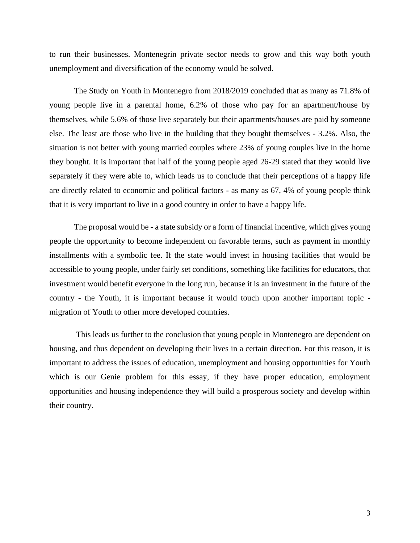to run their businesses. Montenegrin private sector needs to grow and this way both youth unemployment and diversification of the economy would be solved.

The Study on Youth in Montenegro from 2018/2019 concluded that as many as 71.8% of young people live in a parental home, 6.2% of those who pay for an apartment/house by themselves, while 5.6% of those live separately but their apartments/houses are paid by someone else. The least are those who live in the building that they bought themselves - 3.2%. Also, the situation is not better with young married couples where 23% of young couples live in the home they bought. It is important that half of the young people aged 26-29 stated that they would live separately if they were able to, which leads us to conclude that their perceptions of a happy life are directly related to economic and political factors - as many as 67, 4% of young people think that it is very important to live in a good country in order to have a happy life.

The proposal would be - a state subsidy or a form of financial incentive, which gives young people the opportunity to become independent on favorable terms, such as payment in monthly installments with a symbolic fee. If the state would invest in housing facilities that would be accessible to young people, under fairly set conditions, something like facilities for educators, that investment would benefit everyone in the long run, because it is an investment in the future of the country - the Youth, it is important because it would touch upon another important topic migration of Youth to other more developed countries.

This leads us further to the conclusion that young people in Montenegro are dependent on housing, and thus dependent on developing their lives in a certain direction. For this reason, it is important to address the issues of education, unemployment and housing opportunities for Youth which is our Genie problem for this essay, if they have proper education, employment opportunities and housing independence they will build a prosperous society and develop within their country.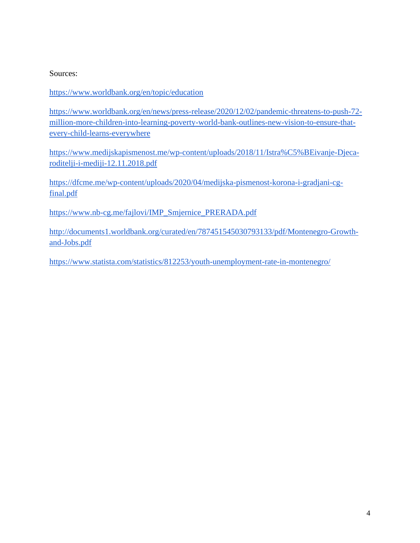# Sources:

# <https://www.worldbank.org/en/topic/education>

[https://www.worldbank.org/en/news/press-release/2020/12/02/pandemic-threatens-to-push-72](https://www.worldbank.org/en/news/press-release/2020/12/02/pandemic-threatens-to-push-72-million-more-children-into-learning-poverty-world-bank-outlines-new-vision-to-ensure-that-every-child-learns-everywhere) [million-more-children-into-learning-poverty-world-bank-outlines-new-vision-to-ensure-that](https://www.worldbank.org/en/news/press-release/2020/12/02/pandemic-threatens-to-push-72-million-more-children-into-learning-poverty-world-bank-outlines-new-vision-to-ensure-that-every-child-learns-everywhere)[every-child-learns-everywhere](https://www.worldbank.org/en/news/press-release/2020/12/02/pandemic-threatens-to-push-72-million-more-children-into-learning-poverty-world-bank-outlines-new-vision-to-ensure-that-every-child-learns-everywhere)

[https://www.medijskapismenost.me/wp-content/uploads/2018/11/Istra%C5%BEivanje-Djeca](https://www.medijskapismenost.me/wp-content/uploads/2018/11/Istra%C5%BEivanje-Djeca-roditelji-i-mediji-12.11.2018.pdf)[roditelji-i-mediji-12.11.2018.pdf](https://www.medijskapismenost.me/wp-content/uploads/2018/11/Istra%C5%BEivanje-Djeca-roditelji-i-mediji-12.11.2018.pdf)

[https://dfcme.me/wp-content/uploads/2020/04/medijska-pismenost-korona-i-gradjani-cg](https://dfcme.me/wp-content/uploads/2020/04/medijska-pismenost-korona-i-gradjani-cg-final.pdf)[final.pdf](https://dfcme.me/wp-content/uploads/2020/04/medijska-pismenost-korona-i-gradjani-cg-final.pdf)

[https://www.nb-cg.me/fajlovi/IMP\\_Smjernice\\_PRERADA.pdf](https://www.nb-cg.me/fajlovi/IMP_Smjernice_PRERADA.pdf)

http://documents1.worldbank.org/curated/en/787451545030793133/pdf/Montenegro-Growthand-Jobs.pdf

https://www.statista.com/statistics/812253/youth-unemployment-rate-in-montenegro/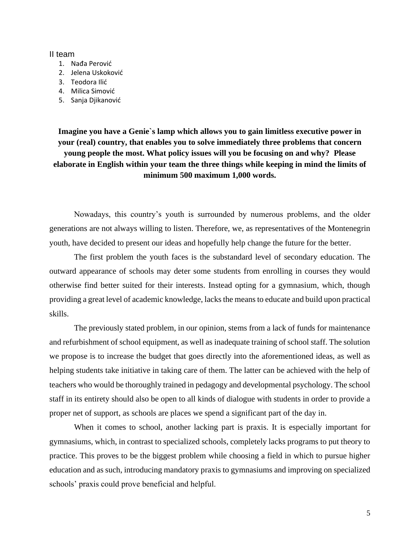#### II team

- 1. Nađa Perović
- 2. Jelena Uskoković
- 3. Teodora Ilić
- 4. Milica Simović
- 5. Sanja Djikanović

**Imagine you have a Genie`s lamp which allows you to gain limitless executive power in your (real) country, that enables you to solve immediately three problems that concern young people the most. What policy issues will you be focusing on and why? Please elaborate in English within your team the three things while keeping in mind the limits of minimum 500 maximum 1,000 words.**

Nowadays, this country's youth is surrounded by numerous problems, and the older generations are not always willing to listen. Therefore, we, as representatives of the Montenegrin youth, have decided to present our ideas and hopefully help change the future for the better.

The first problem the youth faces is the substandard level of secondary education. The outward appearance of schools may deter some students from enrolling in courses they would otherwise find better suited for their interests. Instead opting for a gymnasium, which, though providing a great level of academic knowledge, lacks the means to educate and build upon practical skills.

The previously stated problem, in our opinion, stems from a lack of funds for maintenance and refurbishment of school equipment, as well as inadequate training of school staff. The solution we propose is to increase the budget that goes directly into the aforementioned ideas, as well as helping students take initiative in taking care of them. The latter can be achieved with the help of teachers who would be thoroughly trained in pedagogy and developmental psychology. The school staff in its entirety should also be open to all kinds of dialogue with students in order to provide a proper net of support, as schools are places we spend a significant part of the day in.

When it comes to school, another lacking part is praxis. It is especially important for gymnasiums, which, in contrast to specialized schools, completely lacks programs to put theory to practice. This proves to be the biggest problem while choosing a field in which to pursue higher education and as such, introducing mandatory praxis to gymnasiums and improving on specialized schools' praxis could prove beneficial and helpful.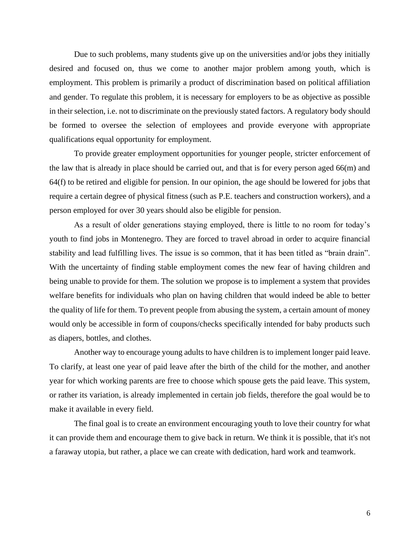Due to such problems, many students give up on the universities and/or jobs they initially desired and focused on, thus we come to another major problem among youth, which is employment. This problem is primarily a product of discrimination based on political affiliation and gender. To regulate this problem, it is necessary for employers to be as objective as possible in their selection, i.e. not to discriminate on the previously stated factors. A regulatory body should be formed to oversee the selection of employees and provide everyone with appropriate qualifications equal opportunity for employment.

To provide greater employment opportunities for younger people, stricter enforcement of the law that is already in place should be carried out, and that is for every person aged 66(m) and 64(f) to be retired and eligible for pension. In our opinion, the age should be lowered for jobs that require a certain degree of physical fitness (such as P.E. teachers and construction workers), and a person employed for over 30 years should also be eligible for pension.

As a result of older generations staying employed, there is little to no room for today's youth to find jobs in Montenegro. They are forced to travel abroad in order to acquire financial stability and lead fulfilling lives. The issue is so common, that it has been titled as "brain drain". With the uncertainty of finding stable employment comes the new fear of having children and being unable to provide for them. The solution we propose is to implement a system that provides welfare benefits for individuals who plan on having children that would indeed be able to better the quality of life for them. To prevent people from abusing the system, a certain amount of money would only be accessible in form of coupons/checks specifically intended for baby products such as diapers, bottles, and clothes.

Another way to encourage young adults to have children is to implement longer paid leave. To clarify, at least one year of paid leave after the birth of the child for the mother, and another year for which working parents are free to choose which spouse gets the paid leave. This system, or rather its variation, is already implemented in certain job fields, therefore the goal would be to make it available in every field.

The final goal is to create an environment encouraging youth to love their country for what it can provide them and encourage them to give back in return. We think it is possible, that it's not a faraway utopia, but rather, a place we can create with dedication, hard work and teamwork.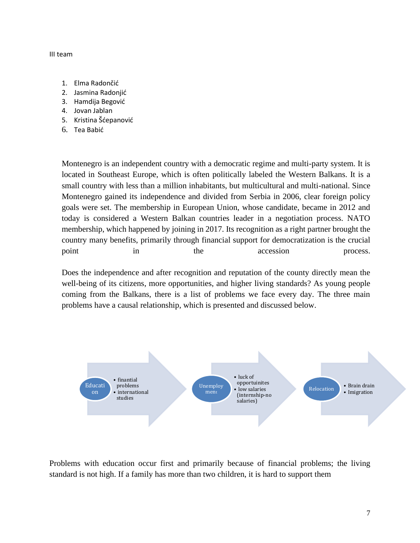#### III team

- 1. Elma Radončić
- 2. Jasmina Radonjić
- 3. Hamdija Begović
- 4. Jovan Jablan
- 5. Kristina Šćepanović
- 6. Tea Babić

Montenegro is an independent country with a democratic regime and multi-party system. It is located in Southeast Europe, which is often politically labeled the Western Balkans. It is a small country with less than a million inhabitants, but multicultural and multi-national. Since Montenegro gained its independence and divided from Serbia in 2006, clear foreign policy goals were set. The membership in European Union, whose candidate, became in 2012 and today is considered a Western Balkan countries leader in a negotiation process. NATO membership, which happened by joining in 2017. Its recognition as a right partner brought the country many benefits, primarily through financial support for democratization is the crucial point in the accession process.

Does the independence and after recognition and reputation of the county directly mean the well-being of its citizens, more opportunities, and higher living standards? As young people coming from the Balkans, there is a list of problems we face every day. The three main problems have a causal relationship, which is presented and discussed below.



Problems with education occur first and primarily because of financial problems; the living standard is not high. If a family has more than two children, it is hard to support them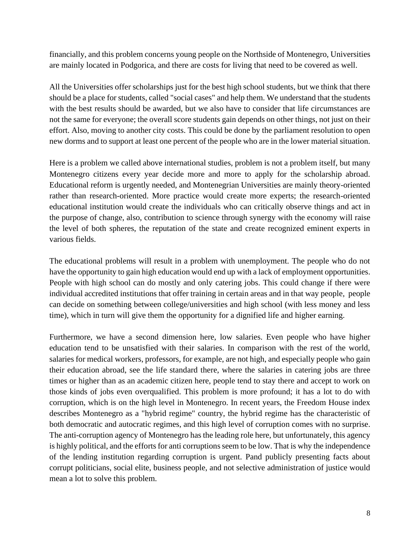financially, and this problem concerns young people on the Northside of Montenegro, Universities are mainly located in Podgorica, and there are costs for living that need to be covered as well.

All the Universities offer scholarships just for the best high school students, but we think that there should be a place for students, called "social cases" and help them. We understand that the students with the best results should be awarded, but we also have to consider that life circumstances are not the same for everyone; the overall score students gain depends on other things, not just on their effort. Also, moving to another city costs. This could be done by the parliament resolution to open new dorms and to support at least one percent of the people who are in the lower material situation.

Here is a problem we called above international studies, problem is not a problem itself, but many Montenegro citizens every year decide more and more to apply for the scholarship abroad. Educational reform is urgently needed, and Montenegrian Universities are mainly theory-oriented rather than research-oriented. More practice would create more experts; the research-oriented educational institution would create the individuals who can critically observe things and act in the purpose of change, also, contribution to science through synergy with the economy will raise the level of both spheres, the reputation of the state and create recognized eminent experts in various fields.

The educational problems will result in a problem with unemployment. The people who do not have the opportunity to gain high education would end up with a lack of employment opportunities. People with high school can do mostly and only catering jobs. This could change if there were individual accredited institutions that offer training in certain areas and in that way people, people can decide on something between college/universities and high school (with less money and less time), which in turn will give them the opportunity for a dignified life and higher earning.

Furthermore, we have a second dimension here, low salaries. Even people who have higher education tend to be unsatisfied with their salaries. In comparison with the rest of the world, salaries for medical workers, professors, for example, are not high, and especially people who gain their education abroad, see the life standard there, where the salaries in catering jobs are three times or higher than as an academic citizen here, people tend to stay there and accept to work on those kinds of jobs even overqualified. This problem is more profound; it has a lot to do with corruption, which is on the high level in Montenegro. In recent years, the Freedom House index describes Montenegro as a "hybrid regime" country, the hybrid regime has the characteristic of both democratic and autocratic regimes, and this high level of corruption comes with no surprise. The anti-corruption agency of Montenegro has the leading role here, but unfortunately, this agency is highly political, and the efforts for anti corruptions seem to be low. That is why the independence of the lending institution regarding corruption is urgent. Pand publicly presenting facts about corrupt politicians, social elite, business people, and not selective administration of justice would mean a lot to solve this problem.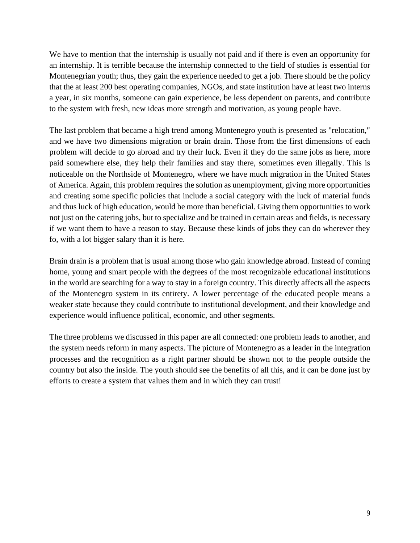We have to mention that the internship is usually not paid and if there is even an opportunity for an internship. It is terrible because the internship connected to the field of studies is essential for Montenegrian youth; thus, they gain the experience needed to get a job. There should be the policy that the at least 200 best operating companies, NGOs, and state institution have at least two interns a year, in six months, someone can gain experience, be less dependent on parents, and contribute to the system with fresh, new ideas more strength and motivation, as young people have.

The last problem that became a high trend among Montenegro youth is presented as "relocation," and we have two dimensions migration or brain drain. Those from the first dimensions of each problem will decide to go abroad and try their luck. Even if they do the same jobs as here, more paid somewhere else, they help their families and stay there, sometimes even illegally. This is noticeable on the Northside of Montenegro, where we have much migration in the United States of America. Again, this problem requires the solution as unemployment, giving more opportunities and creating some specific policies that include a social category with the luck of material funds and thus luck of high education, would be more than beneficial. Giving them opportunities to work not just on the catering jobs, but to specialize and be trained in certain areas and fields, is necessary if we want them to have a reason to stay. Because these kinds of jobs they can do wherever they fo, with a lot bigger salary than it is here.

Brain drain is a problem that is usual among those who gain knowledge abroad. Instead of coming home, young and smart people with the degrees of the most recognizable educational institutions in the world are searching for a way to stay in a foreign country. This directly affects all the aspects of the Montenegro system in its entirety. A lower percentage of the educated people means a weaker state because they could contribute to institutional development, and their knowledge and experience would influence political, economic, and other segments.

The three problems we discussed in this paper are all connected: one problem leads to another, and the system needs reform in many aspects. The picture of Montenegro as a leader in the integration processes and the recognition as a right partner should be shown not to the people outside the country but also the inside. The youth should see the benefits of all this, and it can be done just by efforts to create a system that values them and in which they can trust!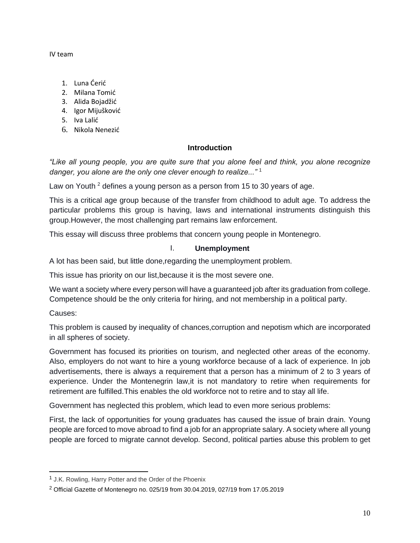IV team

- 1. Luna Ćerić
- 2. Milana Tomić
- 3. Alida Bojadžić
- 4. Igor Mijušković
- 5. Iva Lalić
- 6. Nikola Nenezić

# **Introduction**

*"Like all young people, you are quite sure that you alone feel and think, you alone recognize danger, you alone are the only one clever enough to realize..."* <sup>1</sup>

Law on Youth  $2$  defines a young person as a person from 15 to 30 years of age.

This is a critical age group because of the transfer from childhood to adult age. To address the particular problems this group is having, laws and international instruments distinguish this group.However, the most challenging part remains law enforcement.

This essay will discuss three problems that concern young people in Montenegro.

# I. **Unemployment**

A lot has been said, but little done,regarding the unemployment problem.

This issue has priority on our list,because it is the most severe one.

We want a society where every person will have a guaranteed job after its graduation from college. Competence should be the only criteria for hiring, and not membership in a political party.

Causes:

This problem is caused by inequality of chances,corruption and nepotism which are incorporated in all spheres of society.

Government has focused its priorities on tourism, and neglected other areas of the economy. Also, employers do not want to hire a young workforce because of a lack of experience. In job advertisements, there is always a requirement that a person has a minimum of 2 to 3 years of experience. Under the Montenegrin law,it is not mandatory to retire when requirements for retirement are fulfilled.This enables the old workforce not to retire and to stay all life.

Government has neglected this problem, which lead to even more serious problems:

First, the lack of opportunities for young graduates has caused the issue of brain drain. Young people are forced to move abroad to find a job for an appropriate salary. A society where all young people are forced to migrate cannot develop. Second, political parties abuse this problem to get

<sup>&</sup>lt;sup>1</sup> J.K. Rowling, [Harry Potter and the Order of the Phoenix](https://www.goodreads.com/work/quotes/2809203)

<sup>2</sup> Official Gazette of Montenegro no. 025/19 from 30.04.2019, 027/19 from 17.05.2019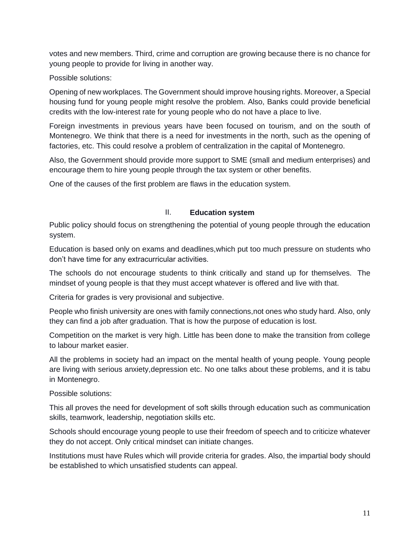votes and new members. Third, crime and corruption are growing because there is no chance for young people to provide for living in another way.

Possible solutions:

Opening of new workplaces. The Government should improve housing rights. Moreover, a Special housing fund for young people might resolve the problem. Also, Banks could provide beneficial credits with the low-interest rate for young people who do not have a place to live.

Foreign investments in previous years have been focused on tourism, and on the south of Montenegro. We think that there is a need for investments in the north, such as the opening of factories, etc. This could resolve a problem of centralization in the capital of Montenegro.

Also, the Government should provide more support to SME (small and medium enterprises) and encourage them to hire young people through the tax system or other benefits.

One of the causes of the first problem are flaws in the education system.

# II. **Education system**

Public policy should focus on strengthening the potential of young people through the education system.

Education is based only on exams and deadlines,which put too much pressure on students who don't have time for any extracurricular activities.

The schools do not encourage students to think critically and stand up for themselves. The mindset of young people is that they must accept whatever is offered and live with that.

Criteria for grades is very provisional and subjective.

People who finish university are ones with family connections,not ones who study hard. Also, only they can find a job after graduation. That is how the purpose of education is lost.

Competition on the market is very high. Little has been done to make the transition from college to labour market easier.

All the problems in society had an impact on the mental health of young people. Young people are living with serious anxiety,depression etc. No one talks about these problems, and it is tabu in Montenegro.

Possible solutions:

This all proves the need for development of soft skills through education such as communication skills, teamwork, leadership, negotiation skills etc.

Schools should encourage young people to use their freedom of speech and to criticize whatever they do not accept. Only critical mindset can initiate changes.

Institutions must have Rules which will provide criteria for grades. Also, the impartial body should be established to which unsatisfied students can appeal.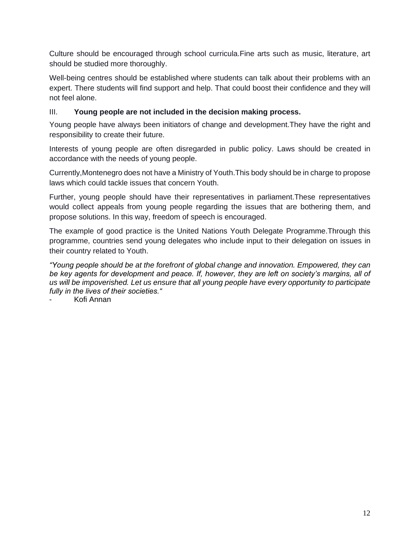Culture should be encouraged through school curricula.Fine arts such as music, literature, art should be studied more thoroughly.

Well-being centres should be established where students can talk about their problems with an expert. There students will find support and help. That could boost their confidence and they will not feel alone.

# III. **Young people are not included in the decision making process.**

Young people have always been initiators of change and development.They have the right and responsibility to create their future.

Interests of young people are often disregarded in public policy. Laws should be created in accordance with the needs of young people.

Currently,Montenegro does not have a Ministry of Youth.This body should be in charge to propose laws which could tackle issues that concern Youth.

Further, young people should have their representatives in parliament.These representatives would collect appeals from young people regarding the issues that are bothering them, and propose solutions. In this way, freedom of speech is encouraged.

The example of good practice is the United Nations Youth Delegate Programme.Through this programme, countries send young delegates who include input to their delegation on issues in their country related to Youth.

*"Young people should be at the forefront of global change and innovation. Empowered, they can be key agents for development and peace. If, however, they are left on society's margins, all of us will be impoverished. Let us ensure that all young people have every opportunity to participate fully in the lives of their societies."*

- Kofi Annan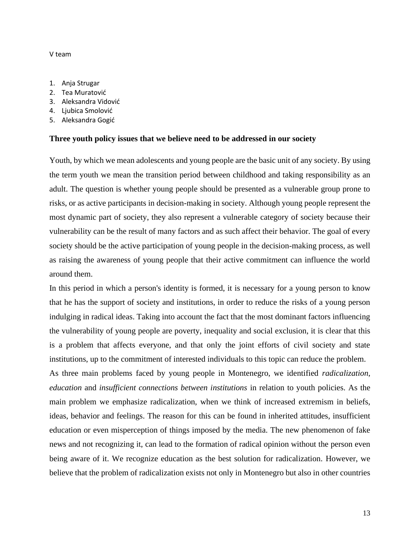#### V team

- 1. Anja Strugar
- 2. Tea Muratović
- 3. Aleksandra Vidović
- 4. Ljubica Smolović
- 5. Aleksandra Gogić

#### **Three youth policy issues that we believe need to be addressed in our society**

Youth, by which we mean adolescents and young people are the basic unit of any society. By using the term youth we mean the transition period between childhood and taking responsibility as an adult. The question is whether young people should be presented as a vulnerable group prone to risks, or as active participants in decision-making in society. Although young people represent the most dynamic part of society, they also represent a vulnerable category of society because their vulnerability can be the result of many factors and as such affect their behavior. The goal of every society should be the active participation of young people in the decision-making process, as well as raising the awareness of young people that their active commitment can influence the world around them.

In this period in which a person's identity is formed, it is necessary for a young person to know that he has the support of society and institutions, in order to reduce the risks of a young person indulging in radical ideas. Taking into account the fact that the most dominant factors influencing the vulnerability of young people are poverty, inequality and social exclusion, it is clear that this is a problem that affects everyone, and that only the joint efforts of civil society and state institutions, up to the commitment of interested individuals to this topic can reduce the problem.

As three main problems faced by young people in Montenegro, we identified *radicalization*, *education* and *insufficient connections between institutions* in relation to youth policies. As the main problem we emphasize radicalization, when we think of increased extremism in beliefs, ideas, behavior and feelings. The reason for this can be found in inherited attitudes, insufficient education or even misperception of things imposed by the media. The new phenomenon of fake news and not recognizing it, can lead to the formation of radical opinion without the person even being aware of it. We recognize education as the best solution for radicalization. However, we believe that the problem of radicalization exists not only in Montenegro but also in other countries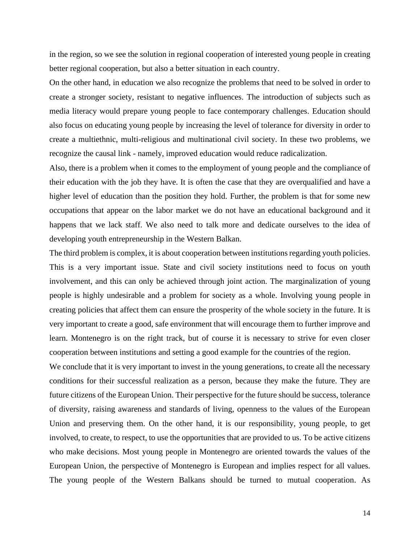in the region, so we see the solution in regional cooperation of interested young people in creating better regional cooperation, but also a better situation in each country.

On the other hand, in education we also recognize the problems that need to be solved in order to create a stronger society, resistant to negative influences. The introduction of subjects such as media literacy would prepare young people to face contemporary challenges. Education should also focus on educating young people by increasing the level of tolerance for diversity in order to create a multiethnic, multi-religious and multinational civil society. In these two problems, we recognize the causal link - namely, improved education would reduce radicalization.

Also, there is a problem when it comes to the employment of young people and the compliance of their education with the job they have. It is often the case that they are overqualified and have a higher level of education than the position they hold. Further, the problem is that for some new occupations that appear on the labor market we do not have an educational background and it happens that we lack staff. We also need to talk more and dedicate ourselves to the idea of developing youth entrepreneurship in the Western Balkan.

The third problem is complex, it is about cooperation between institutions regarding youth policies. This is a very important issue. State and civil society institutions need to focus on youth involvement, and this can only be achieved through joint action. The marginalization of young people is highly undesirable and a problem for society as a whole. Involving young people in creating policies that affect them can ensure the prosperity of the whole society in the future. It is very important to create a good, safe environment that will encourage them to further improve and learn. Montenegro is on the right track, but of course it is necessary to strive for even closer cooperation between institutions and setting a good example for the countries of the region.

We conclude that it is very important to invest in the young generations, to create all the necessary conditions for their successful realization as a person, because they make the future. They are future citizens of the European Union. Their perspective for the future should be success, tolerance of diversity, raising awareness and standards of living, openness to the values of the European Union and preserving them. On the other hand, it is our responsibility, young people, to get involved, to create, to respect, to use the opportunities that are provided to us. To be active citizens who make decisions. Most young people in Montenegro are oriented towards the values of the European Union, the perspective of Montenegro is European and implies respect for all values. The young people of the Western Balkans should be turned to mutual cooperation. As